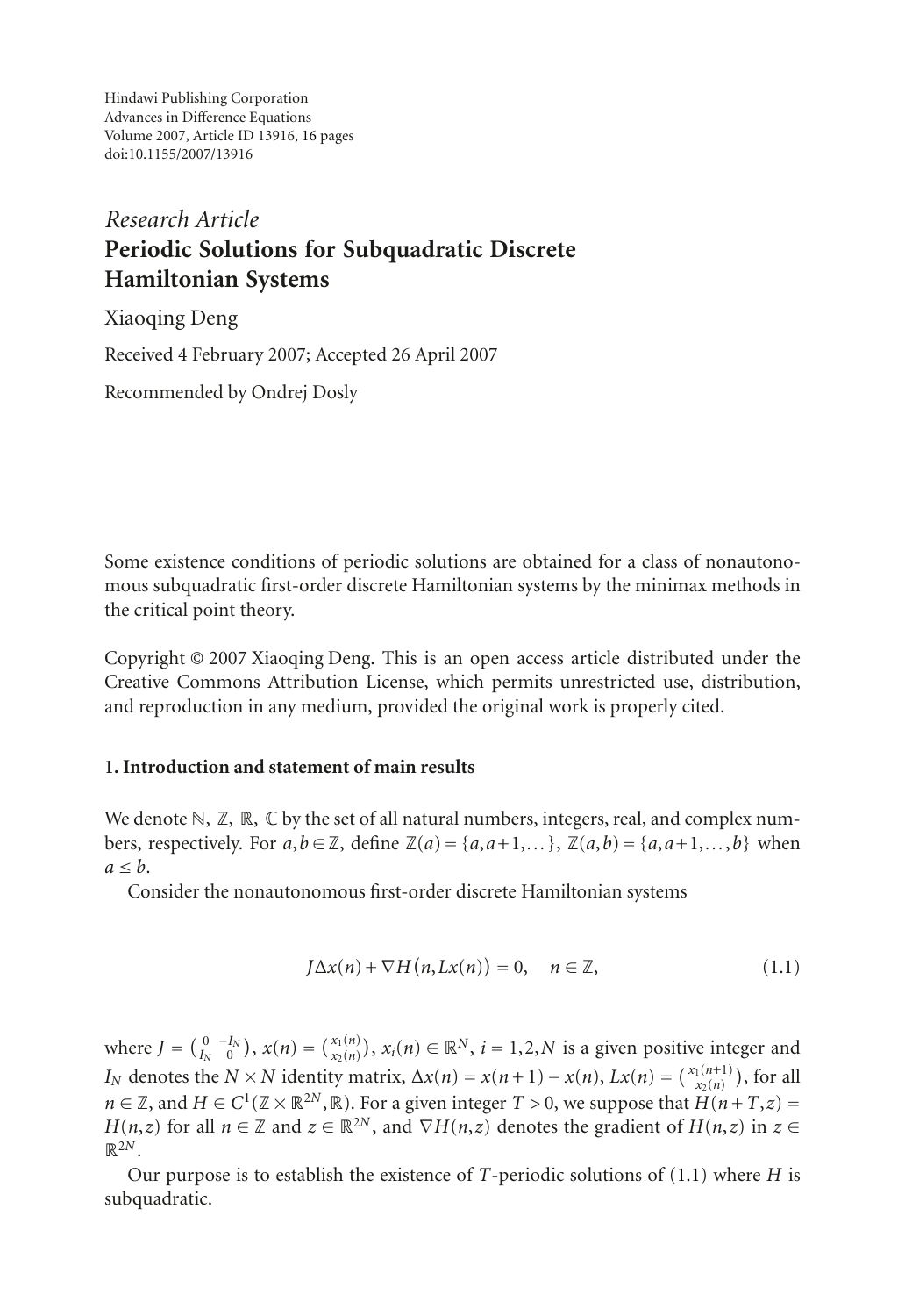Hindawi Publishing Corporation Advances in Difference Equations Volume 2007, Article ID 13916, [16](#page-14-0) pages doi:10.1155/2007/13916

# *Research Article* **Periodic Solutions for Subquadratic Discrete Hamiltonian Systems**

Xiaoqing Deng Received 4 February 2007; Accepted 26 April 2007 Recommended by Ondrej Dosly

Some existence conditions of periodic solutions are obtained for a class of nonautonomous subquadratic first-order discrete Hamiltonian systems by the minimax methods in the critical point theory.

Copyright © 2007 Xiaoqing Deng. This is an open access article distributed under the Creative Commons Attribution License, which permits unrestricted use, distribution, and reproduction in any medium, provided the original work is properly cited.

## **1. Introduction and statement of main results**

We denote  $\mathbb{N}, \mathbb{Z}, \mathbb{R}, \mathbb{C}$  by the set of all natural numbers, integers, real, and complex numbers, respectively. For  $a, b \in \mathbb{Z}$ , define  $\mathbb{Z}(a) = \{a, a+1, \dots\}$ ,  $\mathbb{Z}(a, b) = \{a, a+1, \dots, b\}$  when  $a \leq b$ .

Consider the nonautonomous first-order discrete Hamiltonian systems

<span id="page-0-0"></span>
$$
J\Delta x(n) + \nabla H(n, Lx(n)) = 0, \quad n \in \mathbb{Z},
$$
\n(1.1)

where  $J = \binom{0}{I_N} - \binom{I_N}{0}$ ,  $x(n) = \binom{x_1(n)}{x_2(n)}$ ,  $x_i(n) \in \mathbb{R}^N$ ,  $i = 1, 2, N$  is a given positive integer and *I<sub>N</sub>* denotes the *N* × *N* identity matrix,  $\Delta x(n) = x(n+1) - x(n)$ ,  $Lx(n) = \binom{x_1(n+1)}{x_2(n)}$ , for all *n* ∈ ℤ, and *H* ∈  $C^1$ (ℤ × ℝ<sup>2*N*</sup>, ℝ). For a given integer  $T > 0$ , we suppose that  $H(n+T, z) =$ *H*(*n*,*z*) for all *n* ∈ Z and  $z \in \mathbb{R}^{2N}$ , and  $\nabla$ *H*(*n*,*z*) denotes the gradient of *H*(*n*,*z*) in  $z \in$  $\mathbb{R}^{2N}$ 

Our purpose is to establish the existence of *T*-periodic solutions of [\(1.1\)](#page-0-0) where *H* is subquadratic.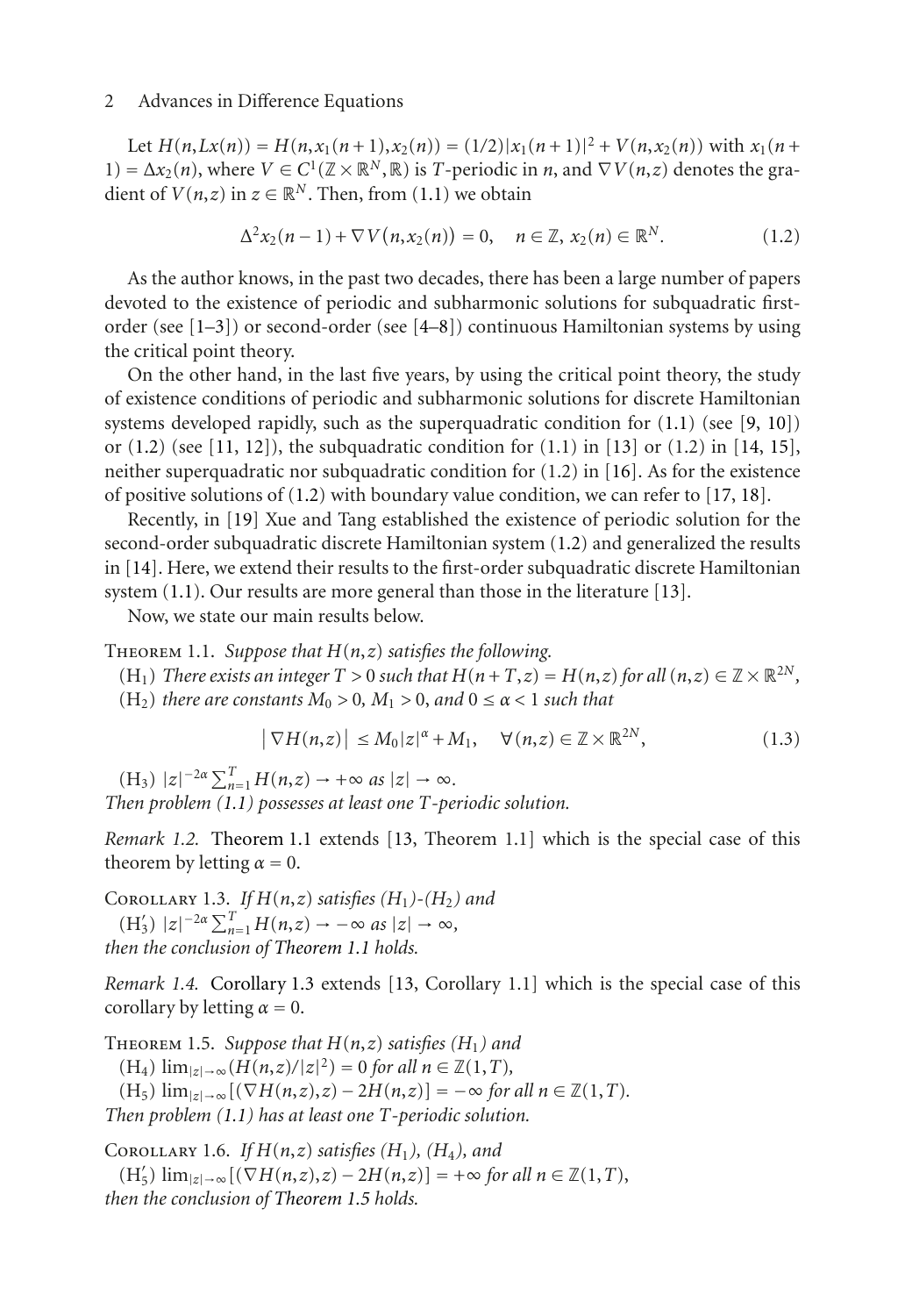Let  $H(n,Lx(n)) = H(n,x_1(n+1),x_2(n)) = (1/2)|x_1(n+1)|^2 + V(n,x_2(n))$  with  $x_1(n+1)$  $1) = \Delta x_2(n)$ , where  $V \in C^1(\mathbb{Z} \times \mathbb{R}^N, \mathbb{R})$  is *T*-periodic in *n*, and  $\nabla V(n, z)$  denotes the gradient of  $V(n, z)$  in  $z \in \mathbb{R}^N$ . Then, from [\(1.1\)](#page-0-0) we obtain

<span id="page-1-0"></span>
$$
\Delta^{2} x_{2}(n-1) + \nabla V(n, x_{2}(n)) = 0, \quad n \in \mathbb{Z}, \ x_{2}(n) \in \mathbb{R}^{N}.
$$
 (1.2)

As the author knows, in the past two decades, there has been a large number of papers devoted to the existence of periodic and subharmonic solutions for subquadratic firstorder (see [\[1](#page-14-1)[–3](#page-14-2)]) or second-order (see [\[4](#page-14-3)[–8\]](#page-14-4)) continuous Hamiltonian systems by using the critical point theory.

On the other hand, in the last five years, by using the critical point theory, the study of existence conditions of periodic and subharmonic solutions for discrete Hamiltonian systems developed rapidly, such as the superquadratic condition for  $(1.1)$  (see [\[9,](#page-14-5) [10](#page-14-6)]) or  $(1.2)$  (see [\[11](#page-14-7), [12](#page-15-0)]), the subquadratic condition for  $(1.1)$  in [\[13](#page-15-1)] or  $(1.2)$  in [\[14,](#page-15-2) [15\]](#page-15-3), neither superquadratic nor subquadratic condition for  $(1.2)$  in [\[16](#page-15-4)]. As for the existence of positive solutions of [\(1.2\)](#page-1-0) with boundary value condition, we can refer to [\[17](#page-15-5), [18\]](#page-15-6).

Recently, in [\[19](#page-15-7)] Xue and Tang established the existence of periodic solution for the second-order subquadratic discrete Hamiltonian system [\(1.2\)](#page-1-0) and generalized the results in [\[14\]](#page-15-2). Here, we extend their results to the first-order subquadratic discrete Hamiltonian system [\(1.1\)](#page-0-0). Our results are more general than those in the literature [\[13](#page-15-1)].

Now, we state our main results below.

<span id="page-1-1"></span>Theorem 1.1. *Suppose that H*(*n*,*z*) *satisfies the following.*

(H<sub>1</sub>) *There exists an integer*  $T > 0$  *such that*  $H(n+T,z) = H(n,z)$  *for all*  $(n,z) \in \mathbb{Z} \times \mathbb{R}^{2N}$ *,*  $(H_2)$  *there are constants*  $M_0 > 0$ ,  $M_1 > 0$ , and  $0 \le \alpha < 1$  *such that* 

$$
\left|\nabla H(n,z)\right| \le M_0 |z|^{\alpha} + M_1, \quad \forall (n,z) \in \mathbb{Z} \times \mathbb{R}^{2N}, \tag{1.3}
$$

 $(H_3)$   $|z|^{-2\alpha} \sum_{n=1}^{T} H(n,z) \to +\infty$  *as*  $|z| \to \infty$ *. Then problem [\(1.1\)](#page-0-0) possesses at least one T-periodic solution.*

*Remark 1.2.* [Theorem 1.1](#page-1-1) extends [\[13](#page-15-1), Theorem 1.1] which is the special case of this theorem by letting  $\alpha = 0$ .

<span id="page-1-2"></span>COROLLARY 1.3. *If*  $H(n,z)$  *satisfies*  $(H_1)$ - $(H_2)$  *and*  $(H'_3)$   $|z|^{-2\alpha} \sum_{n=1}^{T} H(n,z) \to -\infty$  as  $|z| \to \infty$ , *then the conclusion of [Theorem 1.1](#page-1-1) holds.*

*Remark 1.4.* [Corollary 1.3](#page-1-2) extends [\[13,](#page-15-1) Corollary 1.1] which is the special case of this corollary by letting  $\alpha = 0$ .

<span id="page-1-3"></span>THEOREM 1.5. *Suppose that*  $H(n,z)$  *satisfies*  $(H_1)$  *and* (H<sub>4</sub>)  $\lim_{|z| \to \infty}$  (*H*(*n*,*z*)/|*z*|<sup>2</sup>) = 0 *for all n* ∈  $\mathbb{Z}(1,T)$ ,  $(H_5)$   $\lim_{|z| \to \infty} [(\nabla H(n,z), z) - 2H(n,z)] = -\infty$  *for all*  $n \in \mathbb{Z}(1,T)$ *. Then problem [\(1.1\)](#page-0-0) has at least one T-periodic solution.*

<span id="page-1-4"></span>COROLLARY 1.6. *If*  $H(n,z)$  *satisfies*  $(H_1)$ *,*  $(H_4)$ *, and* 

(H 5) lim|*z*|→∞[(∇*H*(*n*,*z*),*z*) − 2*H*(*n*,*z*)] = +∞ *for all n* ∈ Z(1,*T*), *then the conclusion of [Theorem 1.5](#page-1-3) holds.*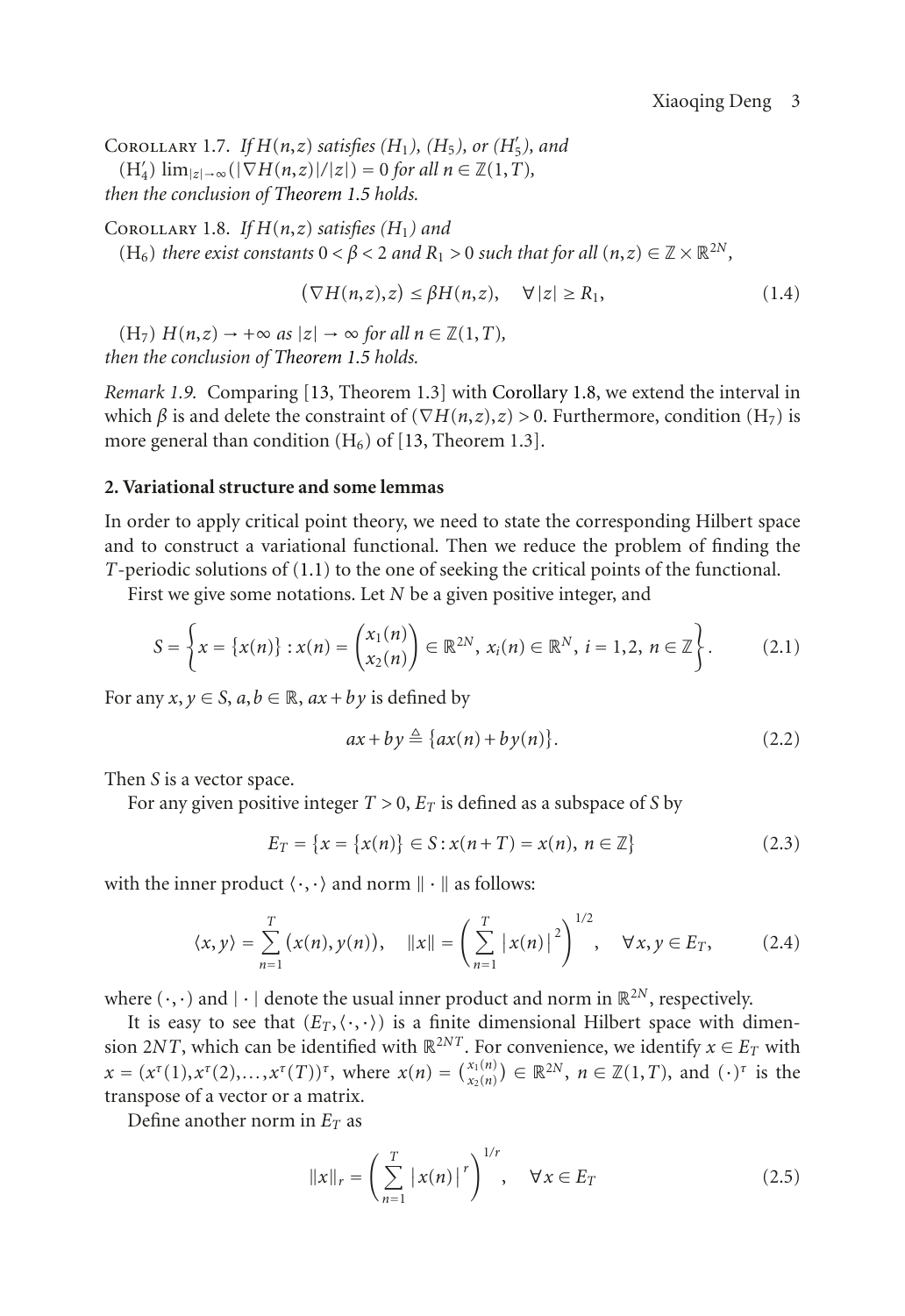<span id="page-2-1"></span>COROLLARY 1.7. *If*  $H(n,z)$  *satisfies*  $(H_1)$ *,*  $(H_5)$ *, or*  $(H'_5)$ *, and*  $(H'_4)$   $\lim_{|z| \to \infty} (|\nabla H(n,z)|/|z|) = 0$  *for all*  $n \in \mathbb{Z}(1,T)$ *, then the conclusion of [Theorem 1.5](#page-1-3) holds.*

<span id="page-2-0"></span>COROLLARY 1.8. *If*  $H(n,z)$  *satisfies*  $(H_1)$  *and* (H<sub>6</sub>) *there exist constants*  $0 < \beta < 2$  *and*  $R_1 > 0$  *such that for all*  $(n, z) \in \mathbb{Z} \times \mathbb{R}^{2N}$ ,

$$
(\nabla H(n,z),z) \leq \beta H(n,z), \quad \forall |z| \geq R_1,
$$
\n(1.4)

 $(H_7)$   $H(n,z) \rightarrow +\infty$  *as*  $|z| \rightarrow \infty$  *for all*  $n \in \mathbb{Z}(1,T)$ *, then the conclusion of [Theorem 1.5](#page-1-3) holds.*

*Remark 1.9.* Comparing [\[13](#page-15-1), Theorem 1.3] with [Corollary 1.8,](#page-2-0) we extend the interval in which *β* is and delete the constraint of ( $\nabla H(n,z), z$ ) > 0. Furthermore, condition (H<sub>7</sub>) is more general than condition  $(H_6)$  of [\[13,](#page-15-1) Theorem 1.3].

#### **2. Variational structure and some lemmas**

In order to apply critical point theory, we need to state the corresponding Hilbert space and to construct a variational functional. Then we reduce the problem of finding the *T*-periodic solutions of [\(1.1\)](#page-0-0) to the one of seeking the critical points of the functional.

First we give some notations. Let *N* be a given positive integer, and

$$
S = \left\{ x = \left\{ x(n) \right\} : x(n) = \begin{pmatrix} x_1(n) \\ x_2(n) \end{pmatrix} \in \mathbb{R}^{2N}, x_i(n) \in \mathbb{R}^N, i = 1, 2, n \in \mathbb{Z} \right\}.
$$
 (2.1)

For any  $x, y \in S$ ,  $a, b \in \mathbb{R}$ ,  $ax + by$  is defined by

$$
ax + by \stackrel{\Delta}{=} \{ax(n) + by(n)\}.
$$
 (2.2)

Then *S* is a vector space.

For any given positive integer  $T > 0$ ,  $E_T$  is defined as a subspace of *S* by

$$
E_T = \{x = \{x(n)\} \in S : x(n+T) = x(n), \ n \in \mathbb{Z}\}\
$$
 (2.3)

with the inner product  $\langle \cdot, \cdot \rangle$  and norm  $\|\cdot\|$  as follows:

$$
\langle x, y \rangle = \sum_{n=1}^{T} (x(n), y(n)), \quad ||x|| = \left(\sum_{n=1}^{T} |x(n)|^2\right)^{1/2}, \quad \forall x, y \in E_T, \quad (2.4)
$$

where  $(\cdot, \cdot)$  and  $|\cdot|$  denote the usual inner product and norm in  $\mathbb{R}^{2N}$ , respectively.

It is easy to see that  $(E_T, \langle \cdot, \cdot \rangle)$  is a finite dimensional Hilbert space with dimension 2*NT*, which can be identified with  $\mathbb{R}^{2NT}$ . For convenience, we identify  $x \in E_T$  with  $x = (x^{\tau}(1), x^{\tau}(2),..., x^{\tau}(T))^{\tau}$ , where  $x(n) = {x_1(n) \choose x_2(n)} \in \mathbb{R}^{2N}$ ,  $n \in \mathbb{Z}(1,T)$ , and  $(\cdot)^{\tau}$  is the transpose of a vector or a matrix.

Define another norm in  $E_T$  as

$$
||x||_{r} = \left(\sum_{n=1}^{T} |x(n)|^{r}\right)^{1/r}, \quad \forall x \in E_{T}
$$
 (2.5)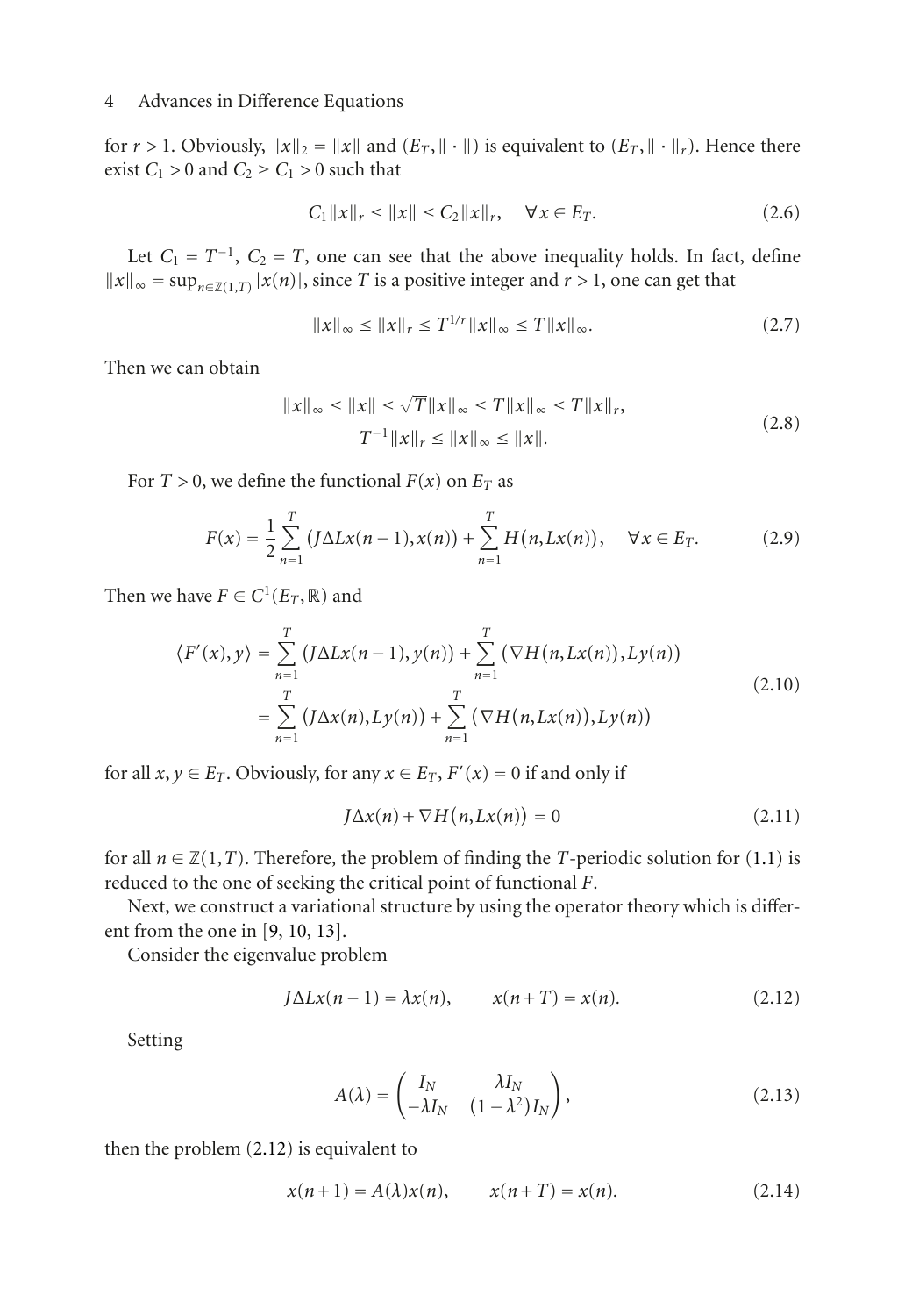for  $r > 1$ . Obviously,  $||x||_2 = ||x||$  and  $(E_T, ||\cdot||)$  is equivalent to  $(E_T, ||\cdot||_r)$ . Hence there exist  $C_1 > 0$  and  $C_2 \ge C_1 > 0$  such that

$$
C_1 \|x\|_r \le \|x\| \le C_2 \|x\|_r, \quad \forall x \in E_T. \tag{2.6}
$$

Let  $C_1 = T^{-1}$ ,  $C_2 = T$ , one can see that the above inequality holds. In fact, define  $||x||_{∞} = \sup_{n \in \mathbb{Z}(1,T)} |x(n)|$ , since *T* is a positive integer and *r* > 1, one can get that

$$
||x||_{\infty} \le ||x||_{r} \le T^{1/r} ||x||_{\infty} \le T ||x||_{\infty}.
$$
 (2.7)

Then we can obtain

<span id="page-3-2"></span>
$$
||x||_{\infty} \le ||x|| \le \sqrt{T} ||x||_{\infty} \le T ||x||_{\infty} \le T ||x||_{r},
$$
  
\n
$$
T^{-1} ||x||_{r} \le ||x||_{\infty} \le ||x||. \tag{2.8}
$$

For  $T > 0$ , we define the functional  $F(x)$  on  $E_T$  as

$$
F(x) = \frac{1}{2} \sum_{n=1}^{T} (J\Delta Lx(n-1), x(n)) + \sum_{n=1}^{T} H(n, Lx(n)), \quad \forall x \in E_T.
$$
 (2.9)

Then we have  $F \in C^1(E_T, \mathbb{R})$  and

$$
\langle F'(x), y \rangle = \sum_{n=1}^{T} (J\Delta Lx(n-1), y(n)) + \sum_{n=1}^{T} (\nabla H(n, Lx(n)), Ly(n))
$$
  
= 
$$
\sum_{n=1}^{T} (J\Delta x(n), Ly(n)) + \sum_{n=1}^{T} (\nabla H(n, Lx(n)), Ly(n))
$$
 (2.10)

for all  $x, y \in E_T$ . Obviously, for any  $x \in E_T$ ,  $F'(x) = 0$  if and only if

<span id="page-3-3"></span>
$$
J\Delta x(n) + \nabla H(n, Lx(n)) = 0
$$
\n(2.11)

for all  $n \in \mathbb{Z}(1,T)$ . Therefore, the problem of finding the *T*-periodic solution for [\(1.1\)](#page-0-0) is reduced to the one of seeking the critical point of functional *F*.

Next, we construct a variational structure by using the operator theory which is different from the one in [\[9,](#page-14-5) [10,](#page-14-6) [13](#page-15-1)].

Consider the eigenvalue problem

$$
J\Delta Lx(n-1) = \lambda x(n), \qquad x(n+T) = x(n). \tag{2.12}
$$

Setting

<span id="page-3-1"></span><span id="page-3-0"></span>
$$
A(\lambda) = \begin{pmatrix} I_N & \lambda I_N \\ -\lambda I_N & (1 - \lambda^2) I_N \end{pmatrix},
$$
\n(2.13)

then the problem [\(2.12\)](#page-3-0) is equivalent to

$$
x(n+1) = A(\lambda)x(n), \t x(n+T) = x(n). \t (2.14)
$$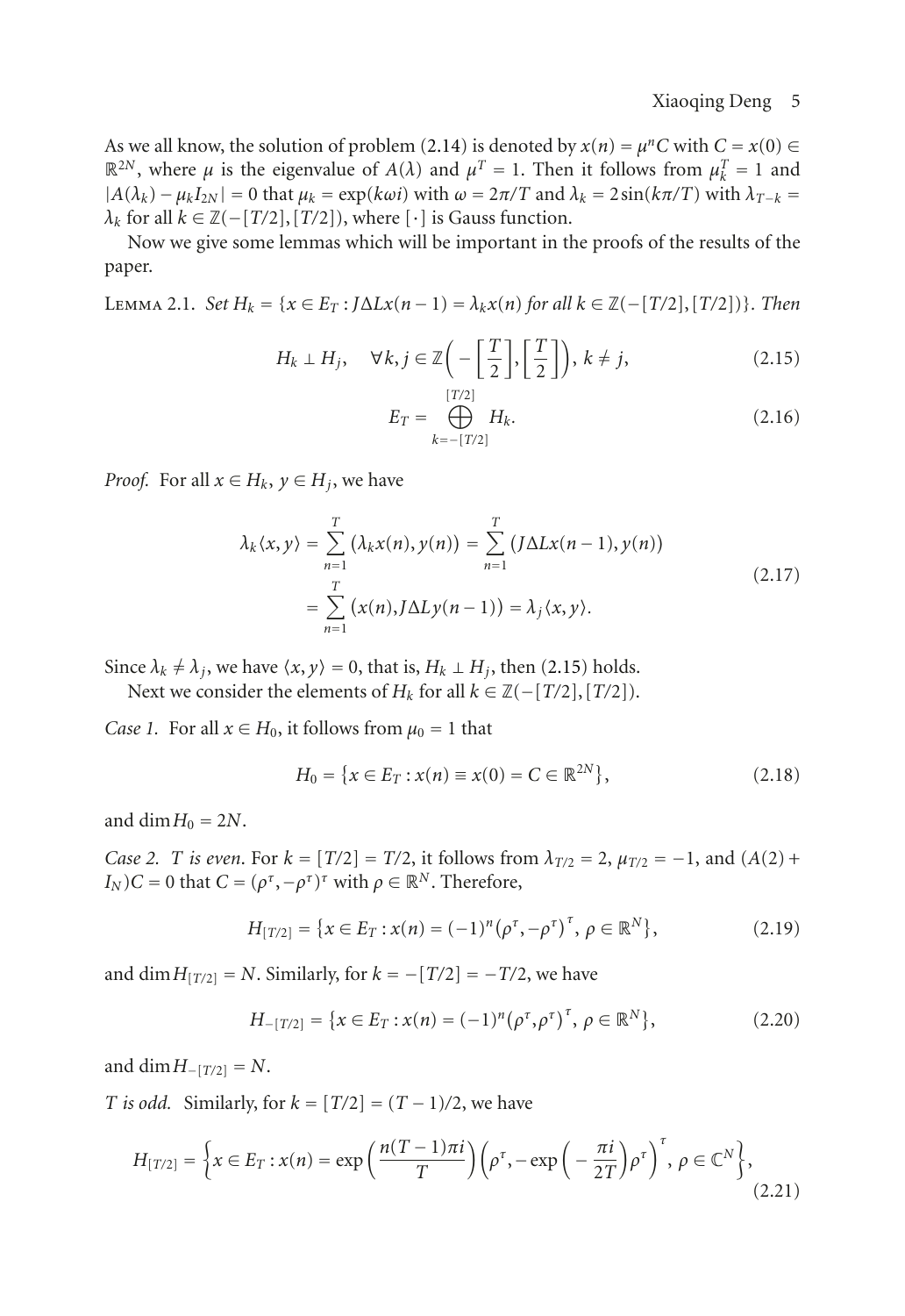As we all know, the solution of problem [\(2.14\)](#page-3-1) is denoted by  $x(n) = \mu^n C$  with  $C = x(0) \in$  $\mathbb{R}^{2N}$ , where *μ* is the eigenvalue of *A*(*λ*) and  $μ<sup>T</sup> = 1$ . Then it follows from  $μ<sup>T</sup><sub>k</sub> = 1$  and  $|A(\lambda_k) - \mu_k I_{2N}| = 0$  that  $\mu_k = \exp(k\omega i)$  with  $\omega = 2\pi/T$  and  $\lambda_k = 2\sin(k\pi/T)$  with  $\lambda_{T-k} =$  $\lambda_k$  for all  $k \in \mathbb{Z}(-[T/2], [T/2])$ , where  $[\cdot]$  is Gauss function.

<span id="page-4-3"></span>Now we give some lemmas which will be important in the proofs of the results of the paper.

Lemma 2.1. *Set Hk* = {*<sup>x</sup>* <sup>∈</sup> *ET* : *<sup>J</sup>*Δ*Lx*(*<sup>n</sup>* <sup>−</sup> 1) <sup>=</sup> *λkx*(*n*) *for all <sup>k</sup>* <sup>∈</sup> <sup>Z</sup>(−[*T/*2], [*T/*2])}*. Then*

$$
H_k \perp H_j, \quad \forall k, j \in \mathbb{Z} \bigg( -\bigg[ \frac{T}{2} \bigg], \bigg[ \frac{T}{2} \bigg] \bigg), \ k \neq j,
$$
\n
$$
(2.15)
$$

<span id="page-4-0"></span>
$$
E_T = \bigoplus_{k=-[T/2]}^{[T/2]} H_k.
$$
 (2.16)

*Proof.* For all  $x \in H_k$ ,  $y \in H_i$ , we have

$$
\lambda_k \langle x, y \rangle = \sum_{n=1}^T \left( \lambda_k x(n), y(n) \right) = \sum_{n=1}^T \left( J \Delta L x(n-1), y(n) \right)
$$
  
= 
$$
\sum_{n=1}^T \left( x(n), J \Delta L y(n-1) \right) = \lambda_j \langle x, y \rangle.
$$
 (2.17)

<span id="page-4-1"></span>Since  $\lambda_k \neq \lambda_j$ , we have  $\langle x, y \rangle = 0$ , that is,  $H_k \perp H_j$ , then [\(2.15\)](#page-4-0) holds.

Next we consider the elements of  $H_k$  for all  $k \in \mathbb{Z}(-[T/2], [T/2])$ .

*Case 1.* For all  $x \in H_0$ , it follows from  $\mu_0 = 1$  that

$$
H_0 = \{x \in E_T : x(n) \equiv x(0) = C \in \mathbb{R}^{2N}\},\tag{2.18}
$$

and dim  $H_0 = 2N$ .

<span id="page-4-2"></span>*Case 2. T is even.* For  $k = [T/2] = T/2$ , it follows from  $\lambda_{T/2} = 2$ ,  $\mu_{T/2} = -1$ , and  $(A(2) +$ *I<sub>N</sub>*)*C* = 0 that *C* =  $(\rho^{\tau}, -\rho^{\tau})^{\tau}$  with  $\rho \in \mathbb{R}^N$ . Therefore,

$$
H_{[T/2]} = \{x \in E_T : x(n) = (-1)^n (\rho^\tau, -\rho^\tau)^\tau, \, \rho \in \mathbb{R}^N\},\tag{2.19}
$$

and dim  $H_{[T/2]} = N$ . Similarly, for  $k = -[T/2] = -T/2$ , we have

$$
H_{-[T/2]} = \{x \in E_T : x(n) = (-1)^n (\rho^\tau, \rho^\tau)^\tau, \, \rho \in \mathbb{R}^N\},\tag{2.20}
$$

and dim  $H_{-[T/2]} = N$ .

*T is odd.* Similarly, for  $k = [T/2] = (T - 1)/2$ , we have

$$
H_{[T/2]} = \left\{ x \in E_T : x(n) = \exp\left(\frac{n(T-1)\pi i}{T}\right) \left(\rho^{\tau}, -\exp\left(-\frac{\pi i}{2T}\right) \rho^{\tau}\right)^{\tau}, \, \rho \in \mathbb{C}^N \right\},\tag{2.21}
$$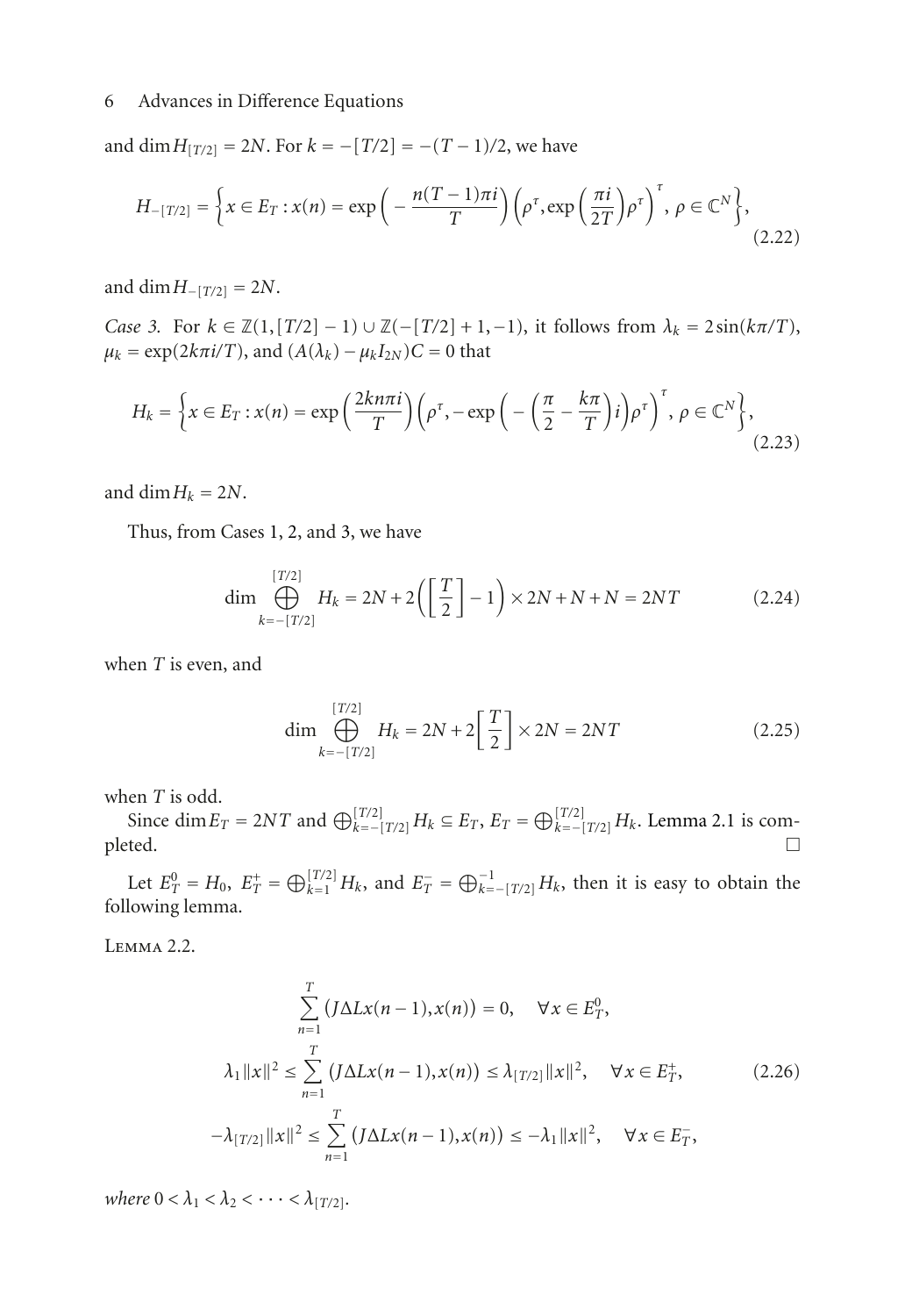and dim  $H_{[T/2]} = 2N$ . For  $k = -[T/2] = -(T - 1)/2$ , we have

$$
H_{-[T/2]} = \left\{ x \in E_T : x(n) = \exp\left(-\frac{n(T-1)\pi i}{T}\right) \left(\rho^\tau, \exp\left(\frac{\pi i}{2T}\right) \rho^\tau\right)^\tau, \ \rho \in \mathbb{C}^N \right\},\tag{2.22}
$$

and dim  $H_{-[T/2]} = 2N$ .

<span id="page-5-0"></span>*Case 3.* For  $k \in \mathbb{Z}(1, [T/2] - 1) \cup \mathbb{Z}(-[T/2] + 1, -1)$ , it follows from  $\lambda_k = 2 \sin(k\pi/T)$ ,  $\mu_k = \exp(2k\pi i/T)$ , and  $(A(\lambda_k) - \mu_k I_{2N})C = 0$  that

$$
H_k = \left\{ x \in E_T : x(n) = \exp\left(\frac{2kn\pi i}{T}\right) \left(\rho^\tau, -\exp\left(-\left(\frac{\pi}{2} - \frac{k\pi}{T}\right)i\right)\rho^\tau\right)^\tau, \ \rho \in \mathbb{C}^N \right\},\tag{2.23}
$$

and dim  $H_k = 2N$ .

Thus, from Cases [1,](#page-4-1) [2,](#page-4-2) and [3,](#page-5-0) we have

$$
\dim \bigoplus_{k=-[T/2]}^{[T/2]} H_k = 2N + 2\left(\left[\frac{T}{2}\right] - 1\right) \times 2N + N + N = 2NT \tag{2.24}
$$

when *T* is even, and

$$
\dim \bigoplus_{k=-[T/2]}^{[T/2]} H_k = 2N + 2\left[\frac{T}{2}\right] \times 2N = 2NT \tag{2.25}
$$

when *T* is odd.

Since dim  $E_T = 2NT$  and  $\bigoplus_{k=-\lfloor T/2 \rfloor}^{\lfloor T/2 \rfloor} H_k \subseteq E_T$ ,  $E_T = \bigoplus_{k=-\lfloor T/2 \rfloor}^{\lfloor T/2 \rfloor} H_k$ . [Lemma 2.1](#page-4-3) is com- $\Box$ 

Let  $E_T^0 = H_0$ ,  $E_T^+ = \bigoplus_{k=1}^{[T/2]} H_k$ , and  $E_T^- = \bigoplus_{k=-[T/2]}^{-1} H_k$ , then it is easy to obtain the following lemma.

<span id="page-5-1"></span>Lemma 2.2.

$$
\sum_{n=1}^{T} (J\Delta Lx(n-1), x(n)) = 0, \quad \forall x \in E_T^0,
$$
\n
$$
\lambda_1 ||x||^2 \le \sum_{n=1}^{T} (J\Delta Lx(n-1), x(n)) \le \lambda_{[T/2]} ||x||^2, \quad \forall x \in E_T^+,
$$
\n
$$
-\lambda_{[T/2]} ||x||^2 \le \sum_{n=1}^{T} (J\Delta Lx(n-1), x(n)) \le -\lambda_1 ||x||^2, \quad \forall x \in E_T^-,
$$
\n(2.26)

*where*  $0 < \lambda_1 < \lambda_2 < \cdots < \lambda_{[T/2]}$ *.*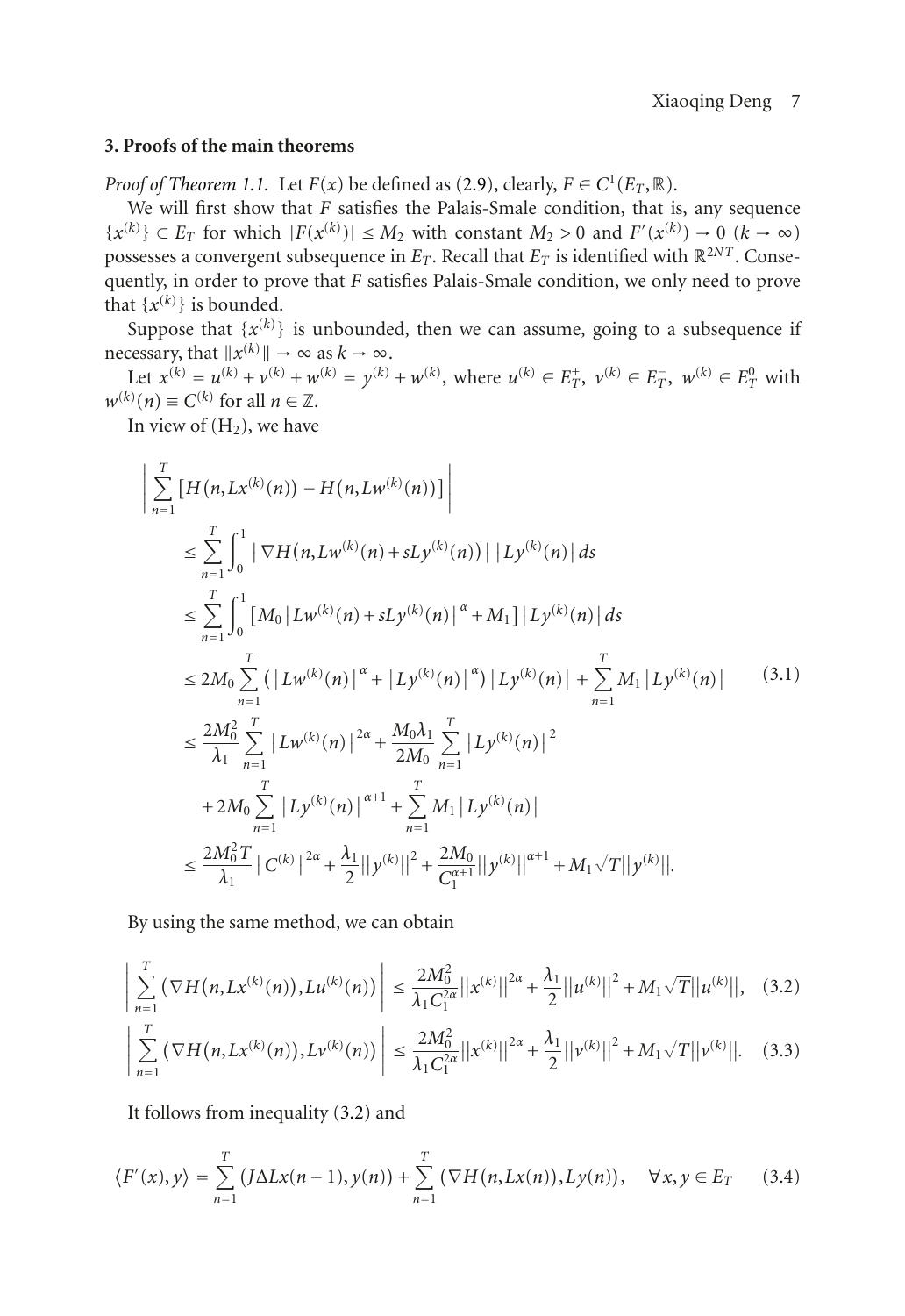## **3. Proofs of the main theorems**

*Proof of [Theorem 1.1.](#page-1-1)* Let  $F(x)$  be defined as [\(2.9\)](#page-3-2), clearly,  $F \in C^1(E_T, \mathbb{R})$ .

We will first show that *F* satisfies the Palais-Smale condition, that is, any sequence  ${x<sup>(k)</sup>}$  ⊂ *E<sub>T</sub>* for which  $|F(x<sup>(k)</sup>)| ≤ M<sub>2</sub>$  with constant *M*<sub>2</sub> > 0 and  $F'(x<sup>(k)</sup>) → 0$  (*k* → ∞) possesses a convergent subsequence in  $E_T$ . Recall that  $E_T$  is identified with  $\mathbb{R}^{2NT}$ . Consequently, in order to prove that *F* satisfies Palais-Smale condition, we only need to prove that  $\{x^{(k)}\}$  is bounded.

Suppose that  $\{x^{(k)}\}$  is unbounded, then we can assume, going to a subsequence if necessary, that  $||x^{(k)}|| \to \infty$  as  $k \to \infty$ .

Let  $x^{(k)} = u^{(k)} + v^{(k)} + w^{(k)} = y^{(k)} + w^{(k)}$ , where  $u^{(k)} \in E_T^+$ ,  $v^{(k)} \in E_T^-$ ,  $w^{(k)} \in E_T^0$  with  $w^{(k)}(n) \equiv C^{(k)}$  for all  $n \in \mathbb{Z}$ .

In view of  $(H<sub>2</sub>)$ , we have

<span id="page-6-2"></span>
$$
\left| \sum_{n=1}^{T} \left[ H(n, Lx^{(k)}(n)) - H(n, Lw^{(k)}(n)) \right] \right|
$$
\n
$$
\leq \sum_{n=1}^{T} \int_{0}^{1} \left| \nabla H(n, Lw^{(k)}(n) + sLy^{(k)}(n)) \right| |Ly^{(k)}(n)| ds
$$
\n
$$
\leq \sum_{n=1}^{T} \int_{0}^{1} \left[ M_{0} |Lw^{(k)}(n) + sLy^{(k)}(n) \right]^{\alpha} + M_{1} |Ly^{(k)}(n)| ds
$$
\n
$$
\leq 2M_{0} \sum_{n=1}^{T} \left( |Lw^{(k)}(n)|^{\alpha} + |Ly^{(k)}(n)|^{\alpha} \right) |Ly^{(k)}(n)| + \sum_{n=1}^{T} M_{1} |Ly^{(k)}(n)| \qquad (3.1)
$$
\n
$$
\leq \frac{2M_{0}^{2}}{\lambda_{1}} \sum_{n=1}^{T} |Lw^{(k)}(n)|^{2\alpha} + \frac{M_{0}\lambda_{1}}{2M_{0}} \sum_{n=1}^{T} |Ly^{(k)}(n)|^{2}
$$
\n
$$
+ 2M_{0} \sum_{n=1}^{T} |Ly^{(k)}(n)|^{\alpha+1} + \sum_{n=1}^{T} M_{1} |Ly^{(k)}(n)|
$$
\n
$$
\leq \frac{2M_{0}^{2}T}{\lambda_{1}} |C^{(k)}|^{2\alpha} + \frac{\lambda_{1}}{2} ||y^{(k)}||^{2} + \frac{2M_{0}}{C_{1}^{(\alpha+1)}} ||y^{(k)}||^{\alpha+1} + M_{1} \sqrt{T} ||y^{(k)}||.
$$
\n(4.11)

<span id="page-6-0"></span>By using the same method, we can obtain

$$
\left| \sum_{n=1}^{T} \left( \nabla H(n, Lx^{(k)}(n)), L u^{(k)}(n) \right) \right| \leq \frac{2M_0^2}{\lambda_1 C_1^{2\alpha}} ||x^{(k)}||^{2\alpha} + \frac{\lambda_1}{2} ||u^{(k)}||^2 + M_1 \sqrt{T} ||u^{(k)}||, \quad (3.2)
$$

<span id="page-6-1"></span>
$$
\left| \sum_{n=1}^{T} \left( \nabla H(n, Lx^{(k)}(n)), L\nu^{(k)}(n) \right) \right| \leq \frac{2M_0^2}{\lambda_1 C_1^{2\alpha}} ||x^{(k)}||^{2\alpha} + \frac{\lambda_1}{2} ||\nu^{(k)}||^2 + M_1 \sqrt{T} ||\nu^{(k)}||. \tag{3.3}
$$

It follows from inequality [\(3.2\)](#page-6-0) and

$$
\langle F'(x), y \rangle = \sum_{n=1}^{T} \left( J \Delta L x(n-1), y(n) \right) + \sum_{n=1}^{T} \left( \nabla H(n, L x(n)), L y(n) \right), \quad \forall x, y \in E_T \tag{3.4}
$$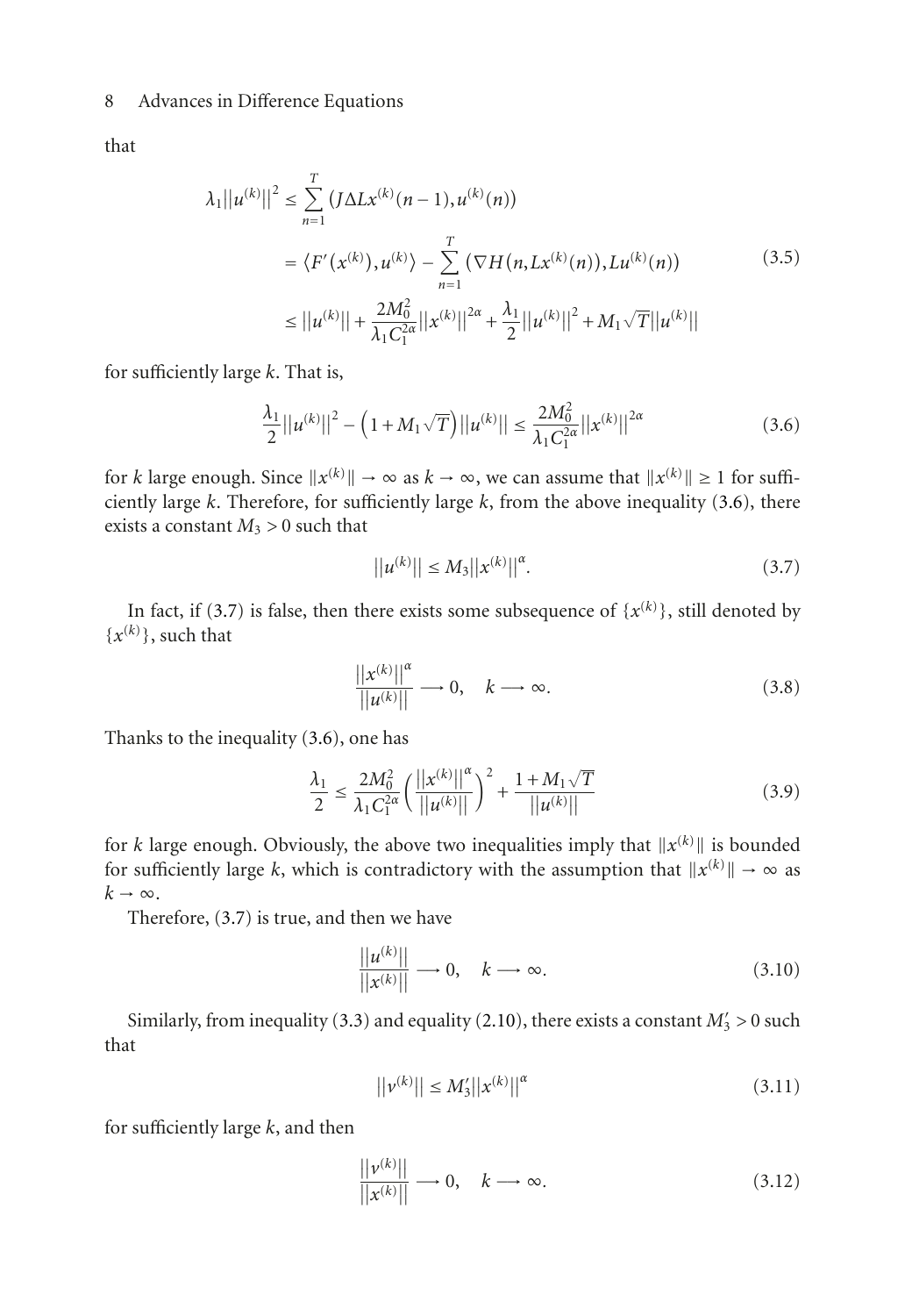that

$$
\lambda_1 ||u^{(k)}||^2 \le \sum_{n=1}^T \left( J \Delta L x^{(k)}(n-1), u^{(k)}(n) \right)
$$
  
\n
$$
= \langle F'(x^{(k)}), u^{(k)} \rangle - \sum_{n=1}^T \left( \nabla H(n, L x^{(k)}(n)), L u^{(k)}(n) \right)
$$
  
\n
$$
\le ||u^{(k)}|| + \frac{2M_0^2}{\lambda_1 C_1^{2\alpha}} ||x^{(k)}||^{2\alpha} + \frac{\lambda_1}{2} ||u^{(k)}||^2 + M_1 \sqrt{T} ||u^{(k)}||
$$
\n(3.5)

for sufficiently large *k*. That is,

$$
\frac{\lambda_1}{2}||u^{(k)}||^2 - \left(1 + M_1\sqrt{T}\right)||u^{(k)}|| \le \frac{2M_0^2}{\lambda_1 C_1^{2\alpha}}||x^{(k)}||^{2\alpha} \tag{3.6}
$$

for *k* large enough. Since  $||x^{(k)}|| \to \infty$  as  $k \to \infty$ , we can assume that  $||x^{(k)}|| \ge 1$  for sufficiently large *k*. Therefore, for sufficiently large *k*, from the above inequality [\(3.6\)](#page-7-0), there exists a constant  $M_3 > 0$  such that

<span id="page-7-1"></span><span id="page-7-0"></span>
$$
||u^{(k)}|| \le M_3 ||x^{(k)}||^{\alpha}.
$$
\n(3.7)

In fact, if [\(3.7\)](#page-7-1) is false, then there exists some subsequence of  $\{x^{(k)}\}$ , still denoted by  $\{x^{(k)}\}\$ , such that

$$
\frac{||x^{(k)}||^{\alpha}}{||u^{(k)}||} \longrightarrow 0, \quad k \longrightarrow \infty.
$$
 (3.8)

Thanks to the inequality [\(3.6\)](#page-7-0), one has

$$
\frac{\lambda_1}{2} \le \frac{2M_0^2}{\lambda_1 C_1^{2\alpha}} \left( \frac{||x^{(k)}||^{\alpha}}{||u^{(k)}||} \right)^2 + \frac{1 + M_1\sqrt{T}}{||u^{(k)}||}
$$
\n(3.9)

for *k* large enough. Obviously, the above two inequalities imply that  $||x^{(k)}||$  is bounded for sufficiently large *k*, which is contradictory with the assumption that  $||x^{(k)}|| \rightarrow \infty$  as  $k \rightarrow \infty$ .

Therefore, [\(3.7\)](#page-7-1) is true, and then we have

<span id="page-7-2"></span>
$$
\frac{||u^{(k)}||}{||x^{(k)}||} \longrightarrow 0, \quad k \longrightarrow \infty.
$$
\n(3.10)

Similarly, from inequality [\(3.3\)](#page-6-1) and equality [\(2.10\)](#page-3-3), there exists a constant  $M'_3 > 0$  such that

<span id="page-7-4"></span><span id="page-7-3"></span>
$$
||v^{(k)}|| \le M_3'||x^{(k)}||^{\alpha} \tag{3.11}
$$

for sufficiently large *k*, and then

$$
\frac{||v^{(k)}||}{||x^{(k)}||} \longrightarrow 0, \quad k \longrightarrow \infty.
$$
\n(3.12)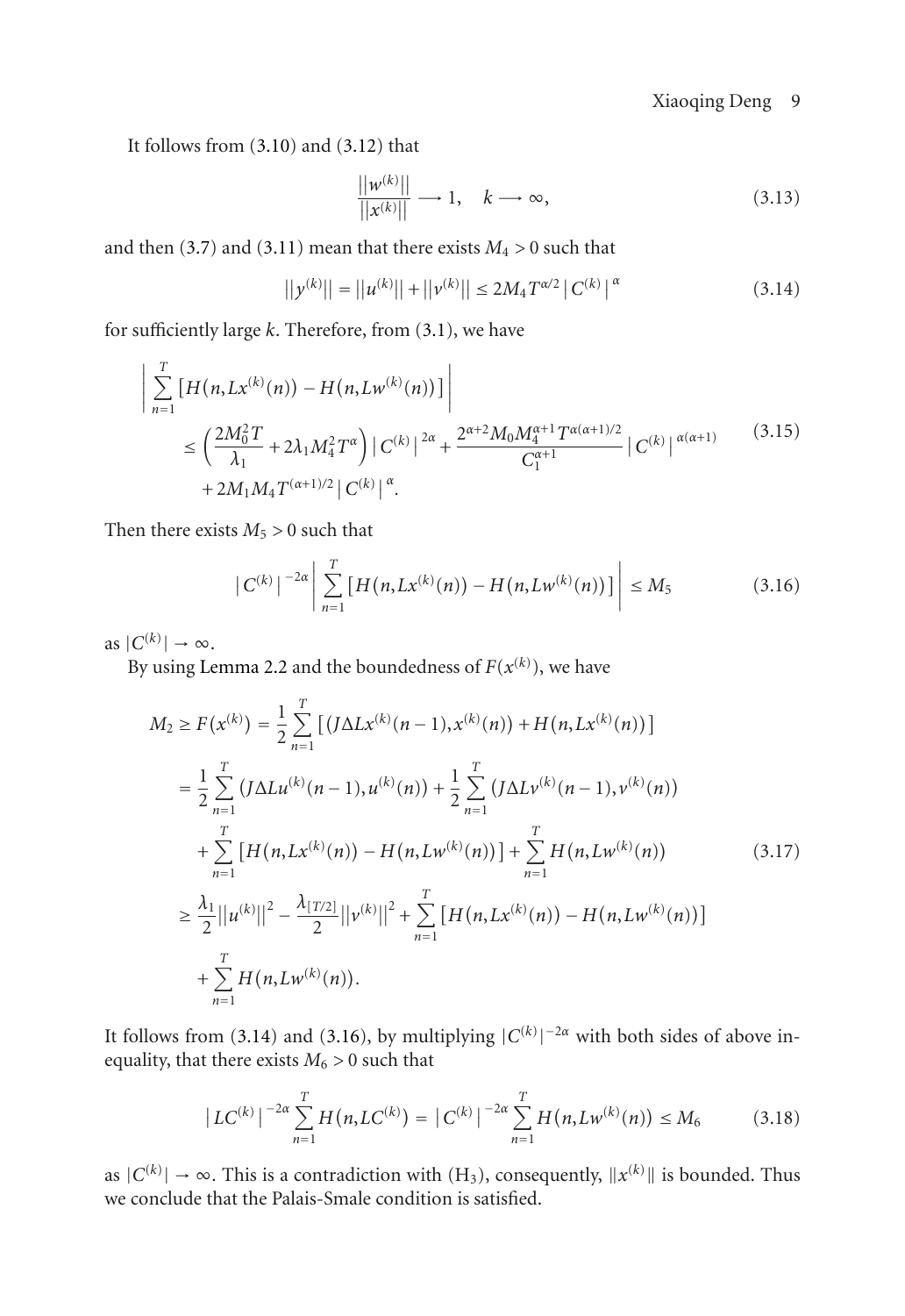It follows from [\(3.10\)](#page-7-2) and [\(3.12\)](#page-7-3) that

<span id="page-8-0"></span>
$$
\frac{||w^{(k)}||}{||x^{(k)}||} \longrightarrow 1, \quad k \longrightarrow \infty,
$$
\n(3.13)

and then [\(3.7\)](#page-7-1) and [\(3.11\)](#page-7-4) mean that there exists  $M_4 > 0$  such that

$$
||y^{(k)}|| = ||u^{(k)}|| + ||v^{(k)}|| \le 2M_4 T^{\alpha/2} |C^{(k)}|^\alpha
$$
\n(3.14)

for sufficiently large *k*. Therefore, from [\(3.1\)](#page-6-2), we have

$$
\left| \sum_{n=1}^{T} \left[ H(n, Lx^{(k)}(n)) - H(n, Lw^{(k)}(n)) \right] \right|
$$
  
\n
$$
\leq \left( \frac{2M_0^2 T}{\lambda_1} + 2\lambda_1 M_4^2 T^{\alpha} \right) |C^{(k)}|^{2\alpha} + \frac{2^{\alpha+2} M_0 M_4^{\alpha+1} T^{\alpha(\alpha+1)/2}}{C_1^{\alpha+1}} |C^{(k)}|^{\alpha(\alpha+1)} + 2M_1 M_4 T^{(\alpha+1)/2} |C^{(k)}|^{\alpha}.
$$
\n(3.15)

Then there exists  $M_5 > 0$  such that

<span id="page-8-1"></span>
$$
|C^{(k)}|^{-2\alpha} \left| \sum_{n=1}^{T} \left[ H(n, Lx^{(k)}(n)) - H(n, Lw^{(k)}(n)) \right] \right| \le M_5
$$
 (3.16)

as  $|C^{(k)}| \to \infty$ .

By using [Lemma 2.2](#page-5-1) and the boundedness of  $F(x^{(k)})$ , we have

$$
M_2 \ge F(x^{(k)}) = \frac{1}{2} \sum_{n=1}^{T} \left[ \left( J \Delta L x^{(k)}(n-1), x^{(k)}(n) \right) + H(n, L x^{(k)}(n)) \right]
$$
  
\n
$$
= \frac{1}{2} \sum_{n=1}^{T} \left( J \Delta L u^{(k)}(n-1), u^{(k)}(n) \right) + \frac{1}{2} \sum_{n=1}^{T} \left( J \Delta L v^{(k)}(n-1), v^{(k)}(n) \right)
$$
  
\n
$$
+ \sum_{n=1}^{T} \left[ H(n, L x^{(k)}(n)) - H(n, L w^{(k)}(n)) \right] + \sum_{n=1}^{T} H(n, L w^{(k)}(n)) \qquad (3.17)
$$
  
\n
$$
\ge \frac{\lambda_1}{2} ||u^{(k)}||^2 - \frac{\lambda_{[T/2]}}{2} ||v^{(k)}||^2 + \sum_{n=1}^{T} \left[ H(n, L x^{(k)}(n)) - H(n, L w^{(k)}(n)) \right]
$$
  
\n
$$
+ \sum_{n=1}^{T} H(n, L w^{(k)}(n)).
$$

It follows from [\(3.14\)](#page-8-0) and [\(3.16\)](#page-8-1), by multiplying  $|C^{(k)}|^{-2\alpha}$  with both sides of above inequality, that there exists  $M_6 > 0$  such that

$$
\left|LC^{(k)}\right|^{-2\alpha} \sum_{n=1}^{T} H(n, LC^{(k)}) = \left|C^{(k)}\right|^{-2\alpha} \sum_{n=1}^{T} H(n, Lw^{(k)}(n)) \le M_6 \tag{3.18}
$$

as  $|C^{(k)}| \to \infty$ . This is a contradiction with  $(H_3)$ , consequently,  $||x^{(k)}||$  is bounded. Thus we conclude that the Palais-Smale condition is satisfied.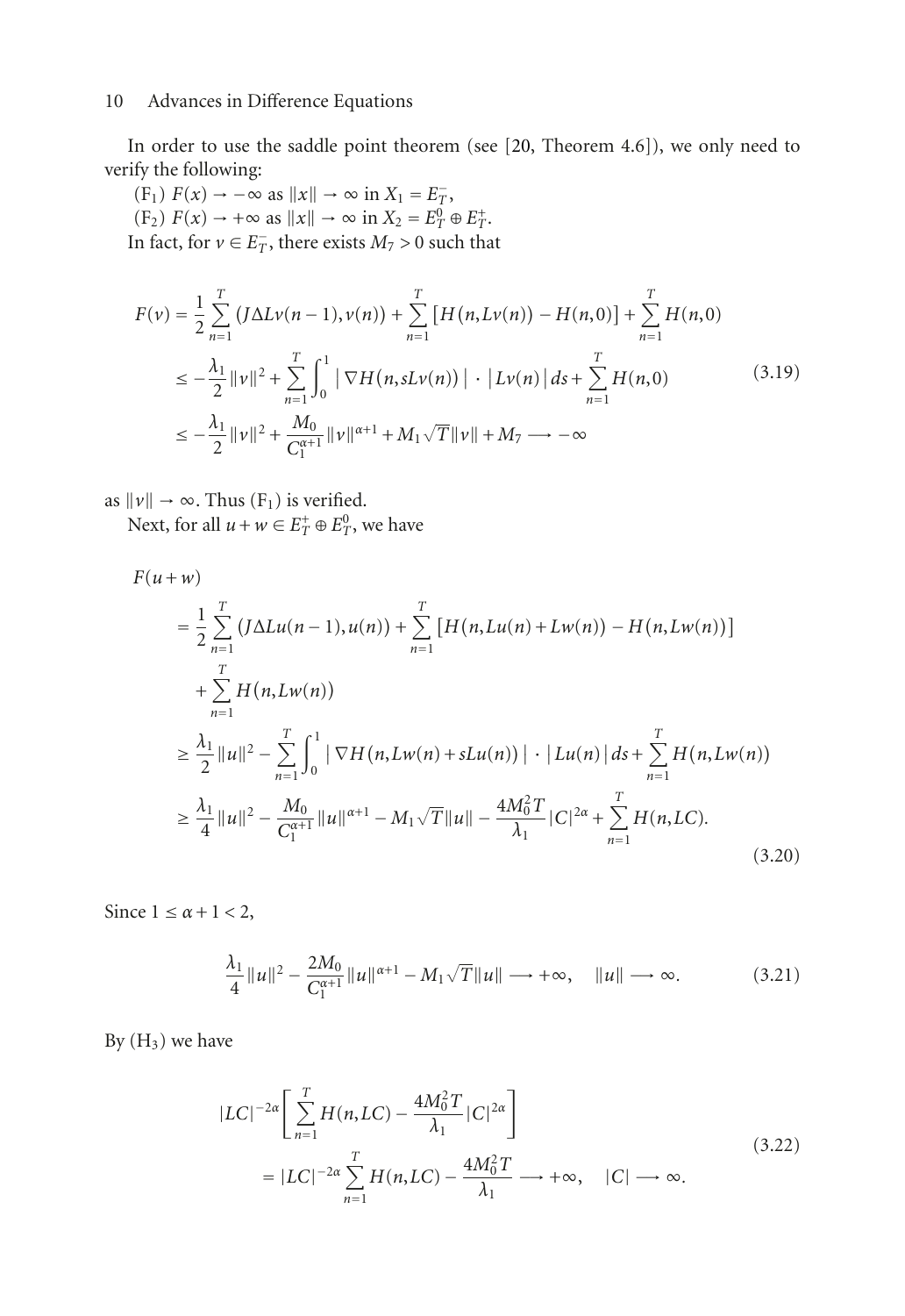In order to use the saddle point theorem (see [\[20](#page-15-8), Theorem 4.6]), we only need to verify the following:

 $(F_1)$   $F(x) \rightarrow -\infty$  as  $||x|| \rightarrow \infty$  in  $X_1 = E_7^-$ ,  $(F_2) F(x) \to +\infty \text{ as } ||x|| \to \infty \text{ in } X_2 = E_T^0 \oplus E_T^+$ . In fact, for  $v \in E_T^-$ , there exists  $M_7 > 0$  such that

$$
F(v) = \frac{1}{2} \sum_{n=1}^{T} \left( J \Delta L v(n-1), v(n) \right) + \sum_{n=1}^{T} \left[ H(n, L v(n)) - H(n, 0) \right] + \sum_{n=1}^{T} H(n, 0)
$$
  
\n
$$
\leq -\frac{\lambda_1}{2} ||v||^2 + \sum_{n=1}^{T} \int_0^1 \left| \nabla H(n, sLv(n)) \right| \cdot \left| Lv(n) \right| ds + \sum_{n=1}^{T} H(n, 0)
$$
  
\n
$$
\leq -\frac{\lambda_1}{2} ||v||^2 + \frac{M_0}{C_1^{n+1}} ||v||^{\alpha+1} + M_1 \sqrt{T} ||v|| + M_7 \longrightarrow -\infty
$$
\n(3.19)

as  $||v|| \rightarrow \infty$ . Thus (F<sub>1</sub>) is verified.

Next, for all  $u + w \in E_T^+ \oplus E_T^0$ , we have

$$
F(u+w)
$$
\n
$$
= \frac{1}{2} \sum_{n=1}^{T} \left( J \Delta L u(n-1), u(n) \right) + \sum_{n=1}^{T} \left[ H(n, Lu(n) + L w(n)) - H(n, Lv(n)) \right]
$$
\n
$$
+ \sum_{n=1}^{T} H(n, Lv(n))
$$
\n
$$
\geq \frac{\lambda_1}{2} ||u||^2 - \sum_{n=1}^{T} \int_0^1 |\nabla H(n, L w(n) + s L u(n))| \cdot |Lu(n)| ds + \sum_{n=1}^{T} H(n, L w(n))
$$
\n
$$
\geq \frac{\lambda_1}{4} ||u||^2 - \frac{M_0}{C_1^{\alpha+1}} ||u||^{\alpha+1} - M_1 \sqrt{T} ||u|| - \frac{4M_0^2 T}{\lambda_1} |C|^{2\alpha} + \sum_{n=1}^{T} H(n, LC).
$$
\n(3.20)

Since  $1 \leq \alpha + 1 < 2$ ,

$$
\frac{\lambda_1}{4} ||u||^2 - \frac{2M_0}{C_1^{\alpha+1}} ||u||^{\alpha+1} - M_1 \sqrt{T} ||u|| \longrightarrow +\infty, \quad ||u|| \longrightarrow \infty.
$$
 (3.21)

By  $(H_3)$  we have

$$
|LC|^{-2\alpha} \left[ \sum_{n=1}^{T} H(n, LC) - \frac{4M_0^2 T}{\lambda_1} |C|^{2\alpha} \right]
$$
  
=  $|LC|^{-2\alpha} \sum_{n=1}^{T} H(n, LC) - \frac{4M_0^2 T}{\lambda_1} \longrightarrow +\infty, \quad |C| \longrightarrow \infty.$  (3.22)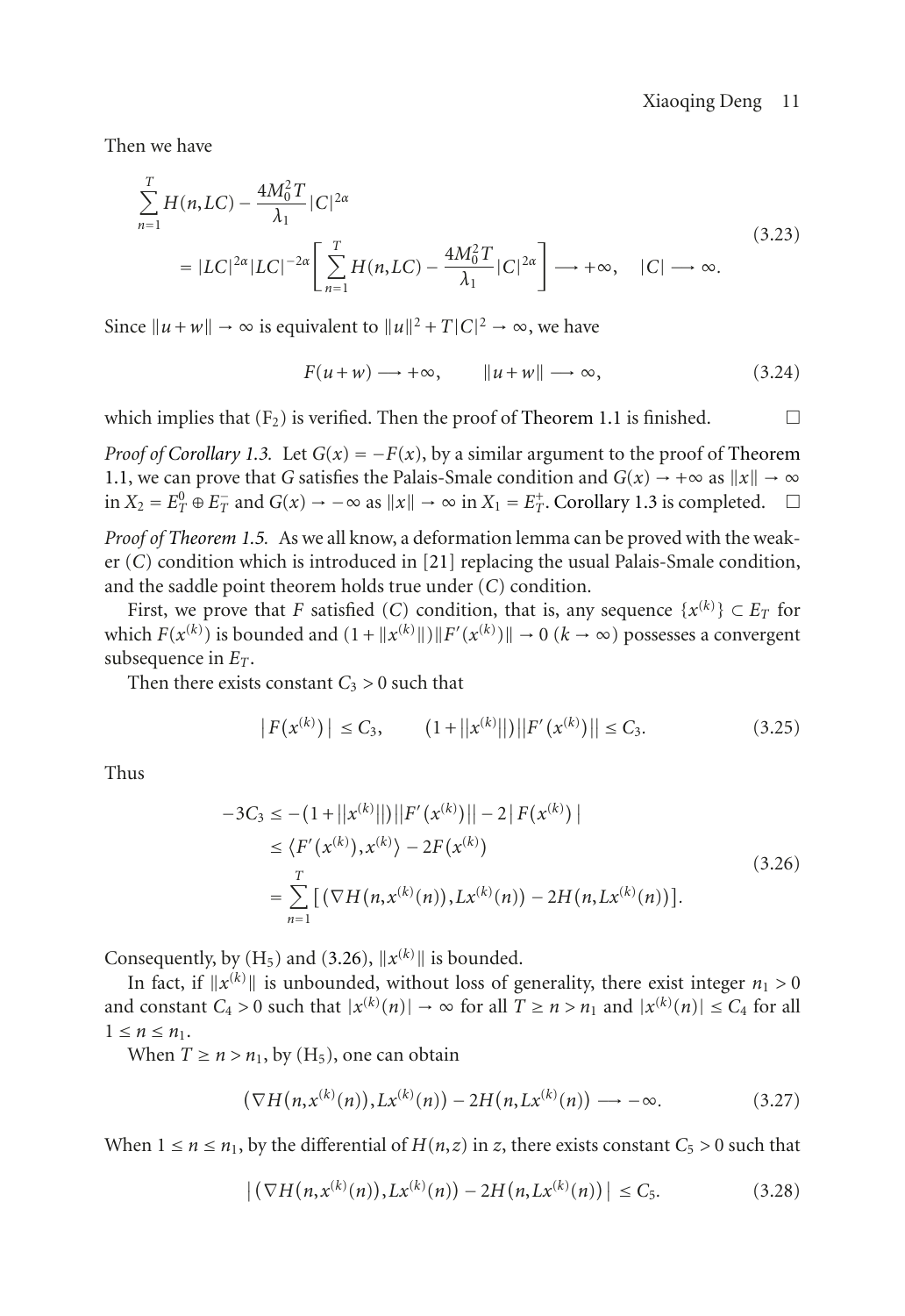Then we have

$$
\sum_{n=1}^{T} H(n, LC) - \frac{4M_0^2 T}{\lambda_1} |C|^{2\alpha}
$$
\n
$$
= |LC|^{2\alpha} |LC|^{-2\alpha} \left[ \sum_{n=1}^{T} H(n, LC) - \frac{4M_0^2 T}{\lambda_1} |C|^{2\alpha} \right] \longrightarrow +\infty, \quad |C| \longrightarrow \infty.
$$
\n(3.23)

Since  $||u + w|| \rightarrow \infty$  is equivalent to  $||u||^2 + T|C|^2 \rightarrow \infty$ , we have

$$
F(u+w) \longrightarrow +\infty, \qquad ||u+w|| \longrightarrow \infty,
$$
 (3.24)

which implies that  $(F_2)$  is verified. Then the proof of [Theorem 1.1](#page-1-1) is finished.  $\Box$ 

*Proof of [Corollary 1.3.](#page-1-2)* Let  $G(x) = -F(x)$ , by a similar argument to the proof of [Theorem](#page-1-1) [1.1,](#page-1-1) we can prove that *G* satisfies the Palais-Smale condition and  $G(x) \rightarrow +\infty$  as  $||x|| \rightarrow \infty$ in  $X_2 = E_T^0 \oplus E_T^-$  and  $G(x) \to -\infty$  as  $||x|| \to \infty$  in  $X_1 = E_T^+$ . [Corollary 1.3](#page-1-2) is completed. □

*Proof of [Theorem 1.5.](#page-1-3)* As we all know, a deformation lemma can be proved with the weaker (*C*) condition which is introduced in [\[21\]](#page-15-9) replacing the usual Palais-Smale condition, and the saddle point theorem holds true under (*C*) condition.

First, we prove that *F* satisfied (*C*) condition, that is, any sequence  $\{x^{(k)}\} \subset E_T$  for which  $F(x^{(k)})$  is bounded and  $(1 + ||x^{(k)}||) ||F'(x^{(k)})|| \to 0$   $(k \to \infty)$  possesses a convergent subsequence in *ET*.

Then there exists constant  $C_3 > 0$  such that

<span id="page-10-0"></span>
$$
|F(x^{(k)})| \leq C_3, \qquad (1+||x^{(k)}||) ||F'(x^{(k)})|| \leq C_3. \tag{3.25}
$$

Thus

$$
-3C_3 \le -\left(1 + ||x^{(k)}||\right)||F'(x^{(k)})|| - 2|F(x^{(k)})|
$$
  
\n
$$
\le \langle F'(x^{(k)}), x^{(k)} \rangle - 2F(x^{(k)})
$$
  
\n
$$
= \sum_{n=1}^T \left[ \left( \nabla H(n, x^{(k)}(n)), Lx^{(k)}(n) \right) - 2H(n, Lx^{(k)}(n)) \right].
$$
\n(3.26)

Consequently, by  $(H_5)$  and  $(3.26)$ ,  $||x^{(k)}||$  is bounded.

In fact, if  $||x^{(k)}||$  is unbounded, without loss of generality, there exist integer  $n_1 > 0$ and constant  $C_4 > 0$  such that  $|x^{(k)}(n)| \to \infty$  for all  $T \ge n > n_1$  and  $|x^{(k)}(n)| \le C_4$  for all  $1 \leq n \leq n_1$ .

When  $T \ge n > n_1$ , by  $(H_5)$ , one can obtain

$$
(\nabla H(n, x^{(k)}(n)), Lx^{(k)}(n)) - 2H(n, Lx^{(k)}(n)) \longrightarrow -\infty.
$$
 (3.27)

When  $1 \le n \le n_1$ , by the differential of  $H(n, z)$  in *z*, there exists constant  $C_5 > 0$  such that

$$
\left| \left( \nabla H(n, x^{(k)}(n)), Lx^{(k)}(n) \right) - 2H(n, Lx^{(k)}(n)) \right| \leq C_5. \tag{3.28}
$$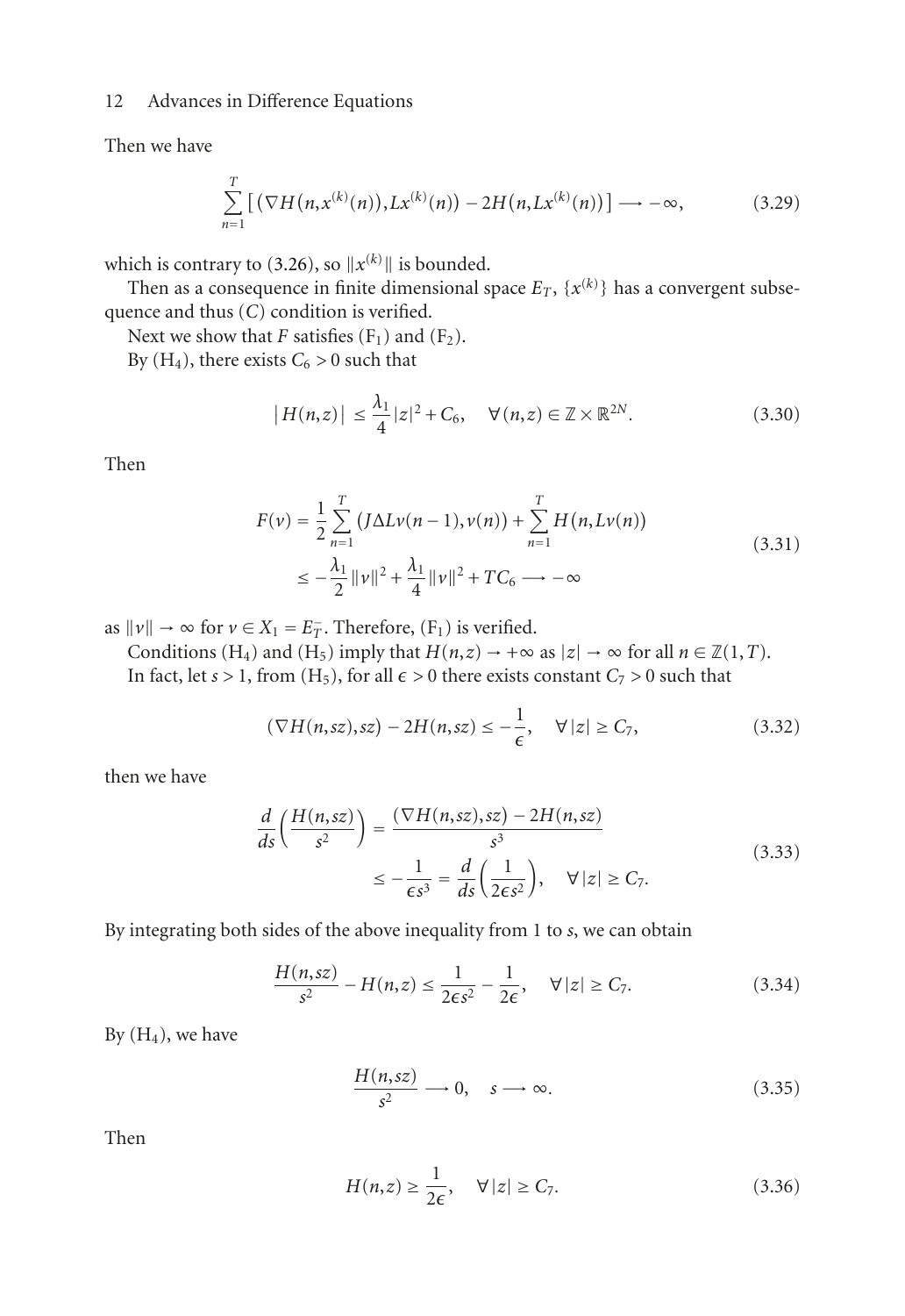Then we have

$$
\sum_{n=1}^{T} \left[ \left( \nabla H(n, x^{(k)}(n)), Lx^{(k)}(n) \right) - 2H(n, Lx^{(k)}(n)) \right] \longrightarrow -\infty,
$$
 (3.29)

which is contrary to  $(3.26)$ , so  $||x^{(k)}||$  is bounded.

Then as a consequence in finite dimensional space  $E_T$ ,  $\{x^{(k)}\}$  has a convergent subsequence and thus (*C*) condition is verified.

Next we show that *F* satisfies  $(F_1)$  and  $(F_2)$ .

By  $(H_4)$ , there exists  $C_6 > 0$  such that

$$
|H(n,z)| \leq \frac{\lambda_1}{4} |z|^2 + C_6, \quad \forall (n,z) \in \mathbb{Z} \times \mathbb{R}^{2N}.
$$
 (3.30)

Then

$$
F(v) = \frac{1}{2} \sum_{n=1}^{T} (J\Delta Lv(n-1), v(n)) + \sum_{n=1}^{T} H(n, Lv(n))
$$
  
 
$$
\leq -\frac{\lambda_1}{2} ||v||^2 + \frac{\lambda_1}{4} ||v||^2 + TC_6 \longrightarrow -\infty
$$
 (3.31)

as  $||v|| \rightarrow \infty$  for  $v \in X_1 = E_T^-$ . Therefore,  $(F_1)$  is verified.

Conditions (H<sub>4</sub>) and (H<sub>5</sub>) imply that  $H(n,z) \to +\infty$  as  $|z| \to \infty$  for all  $n \in \mathbb{Z}(1,T)$ . In fact, let *s* > 1, from (H<sub>5</sub>), for all  $\epsilon$  > 0 there exists constant  $C_7$  > 0 such that

$$
(\nabla H(n,sz),sz) - 2H(n,sz) \le -\frac{1}{\epsilon}, \quad \forall |z| \ge C_7,
$$
\n(3.32)

then we have

$$
\frac{d}{ds}\left(\frac{H(n,sz)}{s^2}\right) = \frac{(\nabla H(n,sz),sz) - 2H(n,sz)}{s^3}
$$
\n
$$
\le -\frac{1}{\epsilon s^3} = \frac{d}{ds}\left(\frac{1}{2\epsilon s^2}\right), \quad \forall |z| \ge C_7.
$$
\n(3.33)

By integrating both sides of the above inequality from 1 to *s*, we can obtain

$$
\frac{H(n,sz)}{s^2} - H(n,z) \le \frac{1}{2\epsilon s^2} - \frac{1}{2\epsilon}, \quad \forall |z| \ge C_7.
$$
 (3.34)

By  $(H_4)$ , we have

$$
\frac{H(n,sz)}{s^2} \longrightarrow 0, \quad s \longrightarrow \infty.
$$
 (3.35)

Then

$$
H(n,z) \ge \frac{1}{2\epsilon}, \quad \forall |z| \ge C_7. \tag{3.36}
$$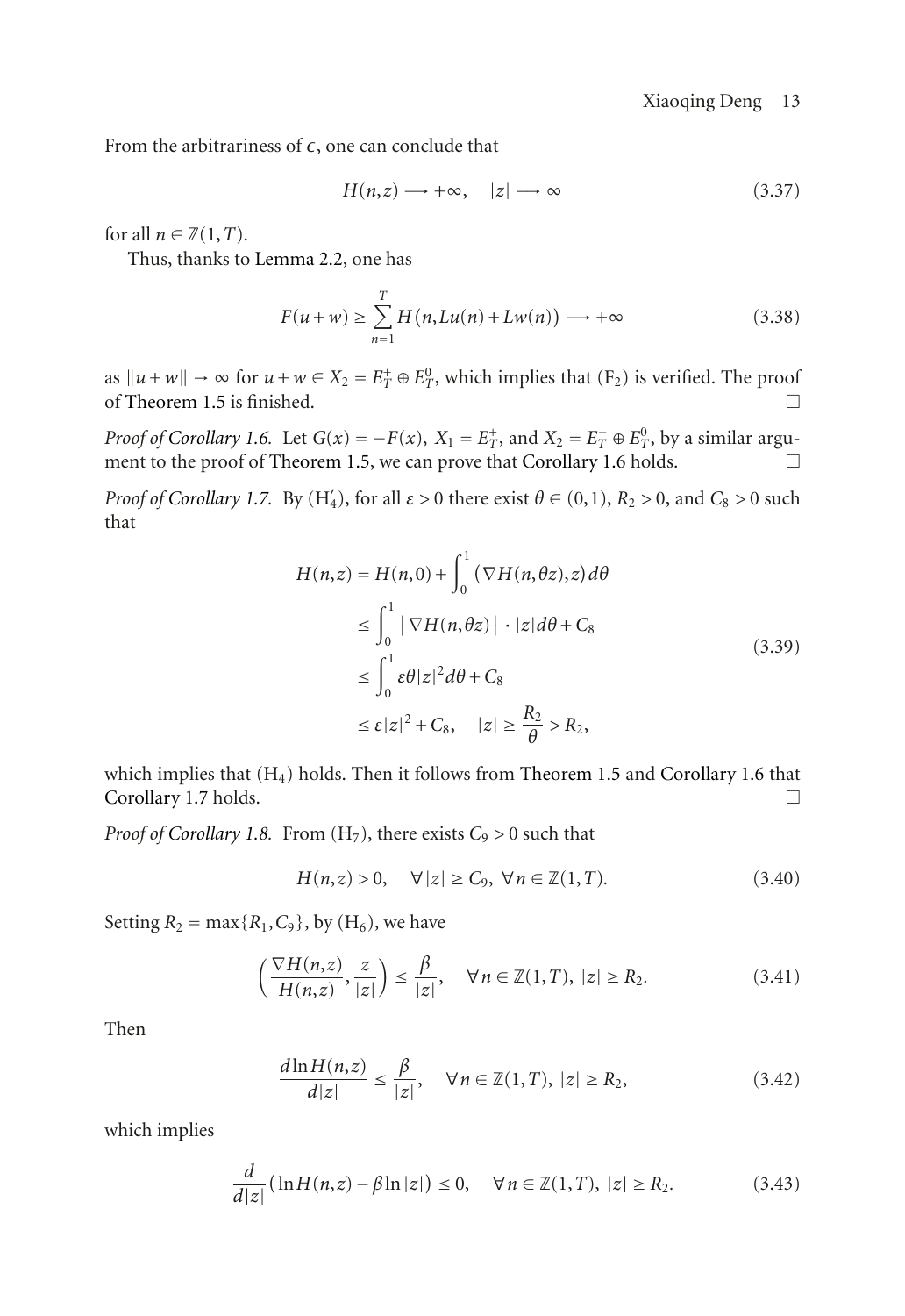From the arbitrariness of  $\epsilon$ , one can conclude that

$$
H(n,z) \longrightarrow +\infty, \quad |z| \longrightarrow \infty \tag{3.37}
$$

for all  $n \in \mathbb{Z}(1,T)$ .

Thus, thanks to [Lemma 2.2,](#page-5-1) one has

$$
F(u+w) \ge \sum_{n=1}^{T} H(n, Lu(n) + Lw(n)) \longrightarrow +\infty
$$
 (3.38)

as  $||u + w|| \rightarrow \infty$  for  $u + w \in X_2 = E_T^+ \oplus E_T^0$ , which implies that (F<sub>2</sub>) is verified. The proof of [Theorem 1.5](#page-1-3) is finished.

*Proof of [Corollary 1.6.](#page-1-4)* Let  $G(x) = -F(x)$ ,  $X_1 = E_T^+$ , and  $X_2 = E_T^- \oplus E_T^0$ , by a similar argu-ment to the proof of [Theorem 1.5,](#page-1-3) we can prove that [Corollary 1.6](#page-1-4) holds.  $\Box$ 

*Proof of [Corollary 1.7.](#page-2-1)* By  $(H_4')$ , for all  $\varepsilon > 0$  there exist  $\theta \in (0,1)$ ,  $R_2 > 0$ , and  $C_8 > 0$  such that

$$
H(n,z) = H(n,0) + \int_0^1 (\nabla H(n,\theta z), z) d\theta
$$
  
\n
$$
\leq \int_0^1 |\nabla H(n,\theta z)| \cdot |z| d\theta + C_8
$$
  
\n
$$
\leq \int_0^1 \varepsilon \theta |z|^2 d\theta + C_8
$$
  
\n
$$
\leq \varepsilon |z|^2 + C_8, \quad |z| \geq \frac{R_2}{\theta} > R_2,
$$
\n(3.39)

which implies that  $(H_4)$  holds. Then it follows from [Theorem 1.5](#page-1-3) and [Corollary 1.6](#page-1-4) that [Corollary 1.7](#page-2-1) holds.

*Proof of [Corollary 1.8.](#page-2-0)* From  $(H_7)$ , there exists  $C_9 > 0$  such that

$$
H(n,z) > 0, \quad \forall \left| z \right| \ge C_9, \, \forall \, n \in \mathbb{Z}(1,T). \tag{3.40}
$$

Setting  $R_2 = \max\{R_1, C_9\}$ , by  $(H_6)$ , we have

$$
\left(\frac{\nabla H(n,z)}{H(n,z)}, \frac{z}{|z|}\right) \le \frac{\beta}{|z|}, \quad \forall n \in \mathbb{Z}(1,T), \ |z| \ge R_2.
$$
\n(3.41)

Then

<span id="page-12-0"></span>
$$
\frac{d\ln H(n,z)}{d|z|} \le \frac{\beta}{|z|}, \quad \forall n \in \mathbb{Z}(1,T), \ |z| \ge R_2,\tag{3.42}
$$

which implies

$$
\frac{d}{d|z|}(\ln H(n,z) - \beta \ln|z|) \le 0, \quad \forall n \in \mathbb{Z}(1,T), \ |z| \ge R_2. \tag{3.43}
$$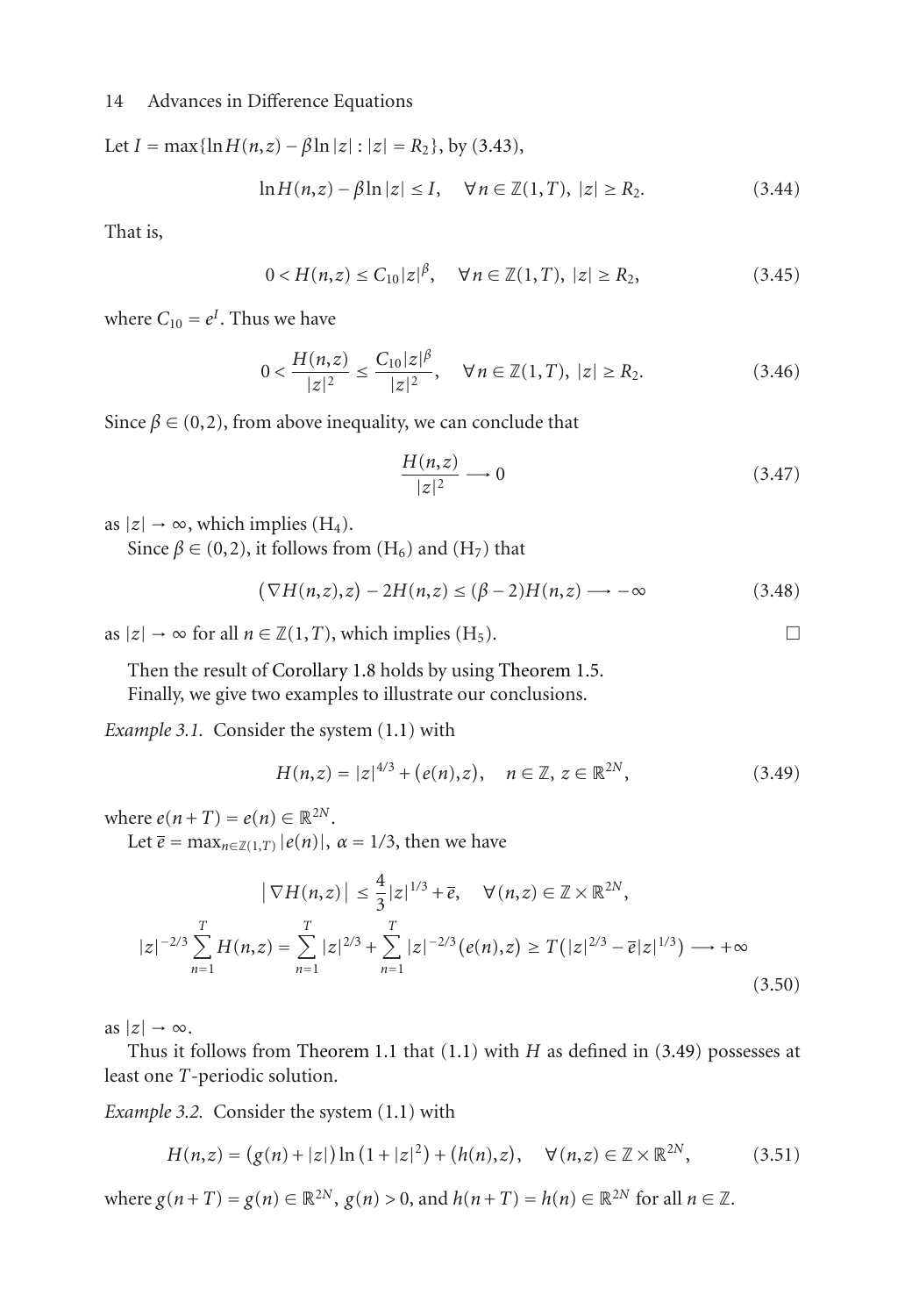Let  $I = \max{\{\ln H(n,z) - \beta \ln |z| : |z| = R_2\}}$ , by [\(3.43\)](#page-12-0),

$$
\ln H(n, z) - \beta \ln |z| \le I, \quad \forall n \in \mathbb{Z}(1, T), \ |z| \ge R_2. \tag{3.44}
$$

That is,

$$
0 < H(n, z) \le C_{10} |z|^\beta, \quad \forall \, n \in \mathbb{Z}(1, T), \, |z| \ge R_2,\tag{3.45}
$$

where  $C_{10} = e^I$ . Thus we have

$$
0 < \frac{H(n,z)}{|z|^2} \le \frac{C_{10}|z|^{\beta}}{|z|^2}, \quad \forall n \in \mathbb{Z}(1,T), \ |z| \ge R_2. \tag{3.46}
$$

Since  $\beta \in (0, 2)$ , from above inequality, we can conclude that

$$
\frac{H(n,z)}{|z|^2} \longrightarrow 0\tag{3.47}
$$

as  $|z| \rightarrow \infty$ , which implies (H<sub>4</sub>).

Since  $\beta \in (0, 2)$ , it follows from (H<sub>6</sub>) and (H<sub>7</sub>) that

$$
(\nabla H(n,z),z) - 2H(n,z) \le (\beta - 2)H(n,z) \longrightarrow -\infty
$$
\n(3.48)

as  $|z|$  → ∞ for all  $n \in \mathbb{Z}(1,T)$ , which implies (H<sub>5</sub>).

Then the result of [Corollary 1.8](#page-2-0) holds by using [Theorem 1.5.](#page-1-3) Finally, we give two examples to illustrate our conclusions.

*Example 3.1.* Consider the system [\(1.1\)](#page-0-0) with

<span id="page-13-0"></span>
$$
H(n,z) = |z|^{4/3} + (e(n),z), \quad n \in \mathbb{Z}, \, z \in \mathbb{R}^{2N}, \tag{3.49}
$$

where  $e(n+T) = e(n) \in \mathbb{R}^{2N}$ .

Let  $\overline{e}$  = max<sub>*n*∈ $\mathbb{Z}(1,T)$ </sub>  $|e(n)|$ ,  $\alpha = 1/3$ , then we have

$$
\left|\nabla H(n,z)\right| \leq \frac{4}{3}|z|^{1/3} + \overline{e}, \quad \forall (n,z) \in \mathbb{Z} \times \mathbb{R}^{2N},
$$
  

$$
|z|^{-2/3} \sum_{n=1}^{T} H(n,z) = \sum_{n=1}^{T} |z|^{2/3} + \sum_{n=1}^{T} |z|^{-2/3} (e(n), z) \geq T(|z|^{2/3} - \overline{e}|z|^{1/3}) \longrightarrow +\infty
$$
  
(3.50)

as  $|z| \rightarrow \infty$ .

Thus it follows from [Theorem 1.1](#page-1-1) that [\(1.1\)](#page-0-0) with *H* as defined in [\(3.49\)](#page-13-0) possesses at least one *T*-periodic solution.

*Example 3.2.* Consider the system [\(1.1\)](#page-0-0) with

<span id="page-13-1"></span>
$$
H(n,z) = (g(n) + |z|) \ln (1 + |z|^2) + (h(n),z), \quad \forall (n,z) \in \mathbb{Z} \times \mathbb{R}^{2N},
$$
 (3.51)

where  $g(n+T) = g(n) \in \mathbb{R}^{2N}$ ,  $g(n) > 0$ , and  $h(n+T) = h(n) \in \mathbb{R}^{2N}$  for all  $n \in \mathbb{Z}$ .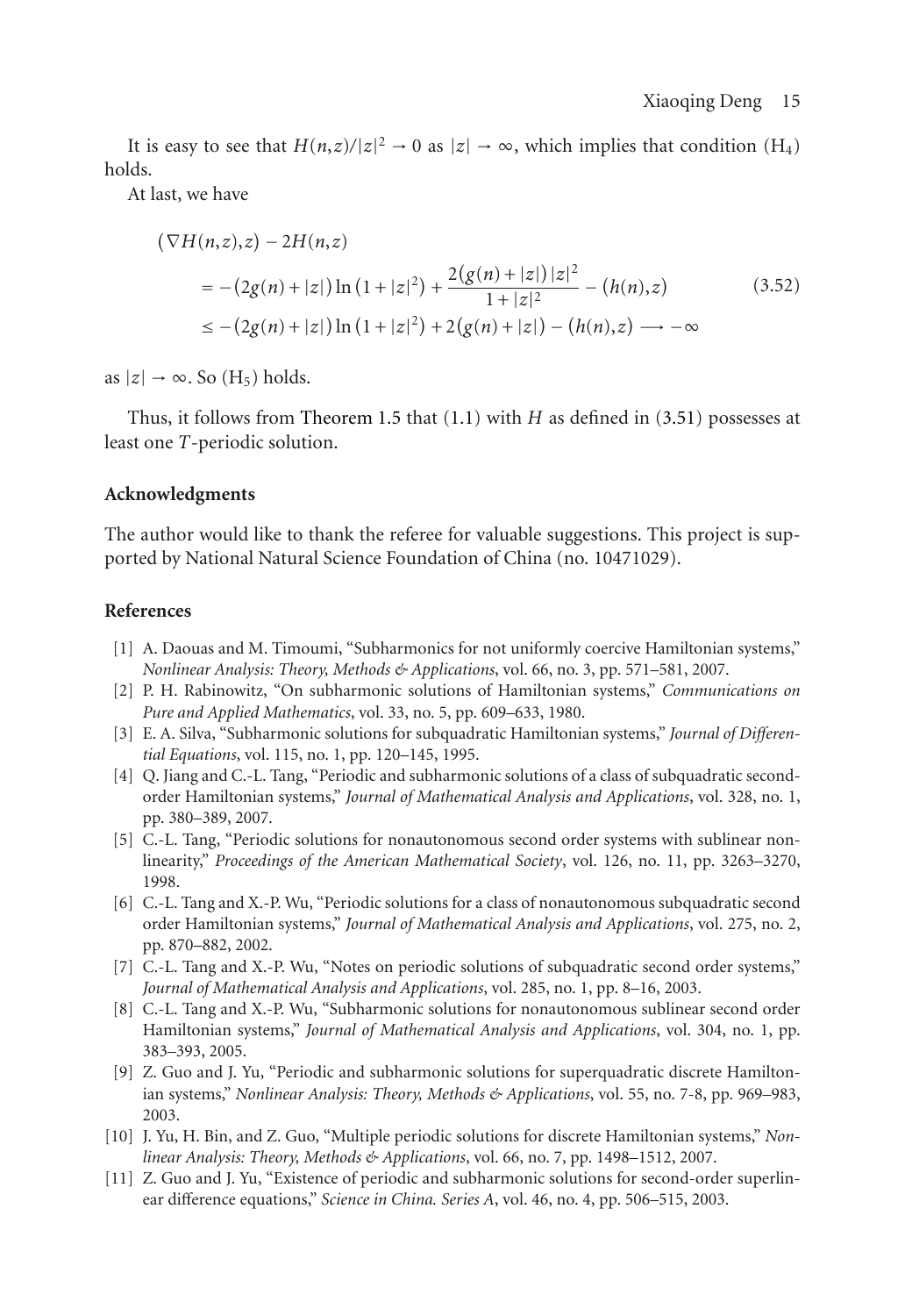It is easy to see that  $H(n,z)/|z|^2 \to 0$  as  $|z| \to \infty$ , which implies that condition  $(H_4)$ holds.

At last, we have

$$
(\nabla H(n,z),z) - 2H(n,z)
$$
  
= - (2g(n) + |z|) ln (1 + |z|<sup>2</sup>) +  $\frac{2(g(n) + |z|)|z|^2}{1+|z|^2}$  – (h(n),z) (3.52)  
 $\leq$  – (2g(n) + |z|) ln (1 + |z|<sup>2</sup>) + 2(g(n) + |z|) – (h(n),z) → -∞

as  $|z| \rightarrow \infty$ . So (H<sub>5</sub>) holds.

Thus, it follows from [Theorem 1.5](#page-1-3) that [\(1.1\)](#page-0-0) with *H* as defined in [\(3.51\)](#page-13-1) possesses at least one *T*-periodic solution.

## **Acknowledgments**

The author would like to thank the referee for valuable suggestions. This project is supported by National Natural Science Foundation of China (no. 10471029).

#### <span id="page-14-1"></span><span id="page-14-0"></span>**References**

- [1] A. Daouas and M. Timoumi, "Subharmonics for not uniformly coercive Hamiltonian systems," *Nonlinear Analysis: Theory, Methods & Applications*, vol. 66, no. 3, pp. 571–581, 2007.
- [2] P. H. Rabinowitz, "On subharmonic solutions of Hamiltonian systems," *Communications on Pure and Applied Mathematics*, vol. 33, no. 5, pp. 609–633, 1980.
- <span id="page-14-2"></span>[3] E. A. Silva, "Subharmonic solutions for subquadratic Hamiltonian systems," *Journal of Differential Equations*, vol. 115, no. 1, pp. 120–145, 1995.
- <span id="page-14-3"></span>[4] Q. Jiang and C.-L. Tang, "Periodic and subharmonic solutions of a class of subquadratic secondorder Hamiltonian systems," *Journal of Mathematical Analysis and Applications*, vol. 328, no. 1, pp. 380–389, 2007.
- [5] C.-L. Tang, "Periodic solutions for nonautonomous second order systems with sublinear nonlinearity," *Proceedings of the American Mathematical Society*, vol. 126, no. 11, pp. 3263–3270, 1998.
- [6] C.-L. Tang and X.-P. Wu, "Periodic solutions for a class of nonautonomous subquadratic second order Hamiltonian systems," *Journal of Mathematical Analysis and Applications*, vol. 275, no. 2, pp. 870–882, 2002.
- [7] C.-L. Tang and X.-P. Wu, "Notes on periodic solutions of subquadratic second order systems," *Journal of Mathematical Analysis and Applications*, vol. 285, no. 1, pp. 8–16, 2003.
- <span id="page-14-4"></span>[8] C.-L. Tang and X.-P. Wu, "Subharmonic solutions for nonautonomous sublinear second order Hamiltonian systems," *Journal of Mathematical Analysis and Applications*, vol. 304, no. 1, pp. 383–393, 2005.
- <span id="page-14-5"></span>[9] Z. Guo and J. Yu, "Periodic and subharmonic solutions for superquadratic discrete Hamiltonian systems," *Nonlinear Analysis: Theory, Methods & Applications*, vol. 55, no. 7-8, pp. 969–983, 2003.
- <span id="page-14-6"></span>[10] J. Yu, H. Bin, and Z. Guo, "Multiple periodic solutions for discrete Hamiltonian systems," *Nonlinear Analysis: Theory, Methods & Applications*, vol. 66, no. 7, pp. 1498–1512, 2007.
- <span id="page-14-7"></span>[11] Z. Guo and J. Yu, "Existence of periodic and subharmonic solutions for second-order superlinear difference equations," *Science in China. Series A*, vol. 46, no. 4, pp. 506–515, 2003.